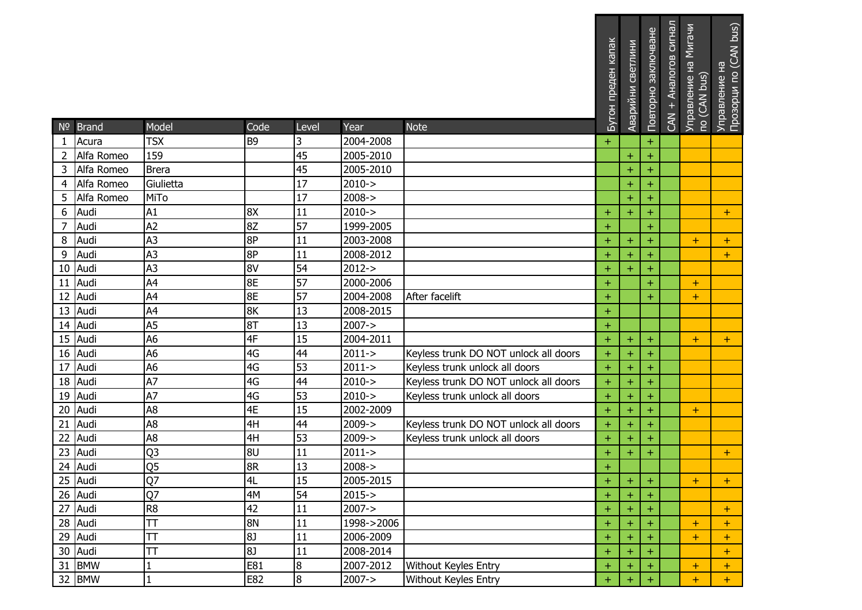|                | $N2$ Brand | Model                   | Code           | Level | Year       | <b>Note</b>                           | Бутон преден капак | Аварийни светлини | Повторно заключване | CAN + Аналогов сигнал | Управление на Мигачи<br>по (CAN bus) | Управление на<br>Прозорци по (CAN bus) |
|----------------|------------|-------------------------|----------------|-------|------------|---------------------------------------|--------------------|-------------------|---------------------|-----------------------|--------------------------------------|----------------------------------------|
| $\mathbf{1}$   | Acura      | <b>TSX</b>              | B <sub>9</sub> | 3     | 2004-2008  |                                       | $+$                |                   | $+$                 |                       |                                      |                                        |
| $\overline{2}$ | Alfa Romeo | 159                     |                | 45    | 2005-2010  |                                       |                    | $+$               | $+$                 |                       |                                      |                                        |
| 3              | Alfa Romeo | <b>Brera</b>            |                | 45    | 2005-2010  |                                       |                    | $\ddot{}$         | $\pm$               |                       |                                      |                                        |
| $\overline{4}$ | Alfa Romeo | Giulietta               |                | 17    | $2010 - >$ |                                       |                    | $\ddot{}$         | $\pm$               |                       |                                      |                                        |
| 5              | Alfa Romeo | MiTo                    |                | 17    | $2008 - >$ |                                       |                    | $\ddot{}$         | $\ddot{}$           |                       |                                      |                                        |
| 6              | Audi       | A1                      | 8X             | 11    | $2010 - >$ |                                       | $\pm$              | $\ddot{}$         | $\pm$               |                       |                                      | $+$                                    |
| 7              | Audi       | A <sub>2</sub>          | 8Z             | 57    | 1999-2005  |                                       | $+$                |                   | $+$                 |                       |                                      |                                        |
| 8              | Audi       | A <sub>3</sub>          | 8P             | 11    | 2003-2008  |                                       | $\ddot{}$          | $\ddot{}$         | $\boldsymbol{+}$    |                       | $\pm$                                | $+$                                    |
| 9              | Audi       | A <sub>3</sub>          | 8P             | 11    | 2008-2012  |                                       | $\ddot{}$          | $\ddot{}$         |                     |                       |                                      | $+$                                    |
| 10             | Audi       | A <sub>3</sub>          | 8V             | 54    | $2012 - >$ |                                       | $\pm$              | $\pm$             | $\pm$               |                       |                                      |                                        |
| 11             | Audi       | A4                      | 8E             | 57    | 2000-2006  |                                       | $\ddot{}$          |                   | $+$                 |                       | $\pm$                                |                                        |
| 12             | Audi       | A4                      | 8E             | 57    | 2004-2008  | After facelift                        | $+$                |                   | $+$                 |                       | $+$                                  |                                        |
| 13             | Audi       | A4                      | 8K             | 13    | 2008-2015  |                                       | $\pm$              |                   |                     |                       |                                      |                                        |
| 14             | Audi       | A <sub>5</sub>          | 8T             | 13    | $2007 - >$ |                                       | $+$                |                   |                     |                       |                                      |                                        |
| 15             | Audi       | A <sub>6</sub>          | 4F             | 15    | 2004-2011  |                                       | $+$                | $\ddot{}$         | $\pm$               |                       | $\pm$                                | $+$                                    |
| 16             | Audi       | A <sub>6</sub>          | 4G             | 44    | $2011 - >$ | Keyless trunk DO NOT unlock all doors | $\ddot{}$          | $\ddot{}$         | $\pm$               |                       |                                      |                                        |
| 17             | Audi       | A <sub>6</sub>          | 4G             | 53    | $2011 - >$ | Keyless trunk unlock all doors        | $\pm$              | $+$               | $\pm$               |                       |                                      |                                        |
| 18             | Audi       | A7                      | 4G             | 44    | $2010 - >$ | Keyless trunk DO NOT unlock all doors | $\ddot{}$          | $\ddot{}$         | $\ddot{}$           |                       |                                      |                                        |
| 19             | Audi       | A7                      | 4G             | 53    | $2010 - >$ | Keyless trunk unlock all doors        | $\ddot{}$          | $\ddot{}$         |                     |                       |                                      |                                        |
| 20             | Audi       | A <sub>8</sub>          | 4E             | 15    | 2002-2009  |                                       | $\pm$              | $\pm$             | $\pm$               |                       | $+$                                  |                                        |
| 21             | Audi       | A <sub>8</sub>          | 4H             | 44    | $2009 - >$ | Keyless trunk DO NOT unlock all doors | $+$                | $+$               | $+$                 |                       |                                      |                                        |
| 22             | Audi       | A <sub>8</sub>          | 4H             | 53    | $2009 - >$ | Keyless trunk unlock all doors        | $\ddot{}$          | $\ddot{}$         | $+$                 |                       |                                      |                                        |
| 23             | Audi       | Q <sub>3</sub>          | 8U             | 11    | $2011 - >$ |                                       | $\pm$              | $\pm$             | $\pm$               |                       |                                      | $+$                                    |
| 24             | Audi       | Q <sub>5</sub>          | 8R             | 13    | $2008 - >$ |                                       | $\ddot{}$          |                   |                     |                       |                                      |                                        |
|                | 25 Audi    | Q <sub>7</sub>          | 4L             | 15    | 2005-2015  |                                       | $+$                | $\pm$             | ±                   |                       | $+$                                  |                                        |
|                | 26 Audi    | Q7                      | 4M             | 54    | $2015 - >$ |                                       | $\pm$              | $\pm$             |                     |                       |                                      |                                        |
|                | 27 Audi    | R <sub>8</sub>          | 42             | 11    | $2007 - >$ |                                       | $+$                | $+$               | $+$                 |                       |                                      | $+$                                    |
|                | 28 Audi    | $\overline{\mathsf{H}}$ | 8N             | 11    | 1998->2006 |                                       | $\ddot{}$          | $\pm$             |                     |                       | $\pm$                                | $\pm$                                  |
|                | 29 Audi    | T                       | <b>8J</b>      | 11    | 2006-2009  |                                       | $\ddot{}$          | $\pm$             |                     |                       | $\pm$                                | $+$                                    |
|                | 30 Audi    | $\top$                  | 8J             | 11    | 2008-2014  |                                       | $\pm$              | $\pm$             | $\pm$               |                       |                                      | $+$                                    |
|                | 31 BMW     |                         | E81            | 8     | 2007-2012  | Without Keyles Entry                  | $\ddot{}$          | $\ddot{}$         | $+$                 |                       | $\pm$                                | $+$                                    |
|                | 32 BMW     | $\mathbf{1}$            | E82            | 8     | $2007 - >$ | Without Keyles Entry                  | $+$                | $+$               |                     |                       | $\pm$                                | $+$                                    |

. . . . . .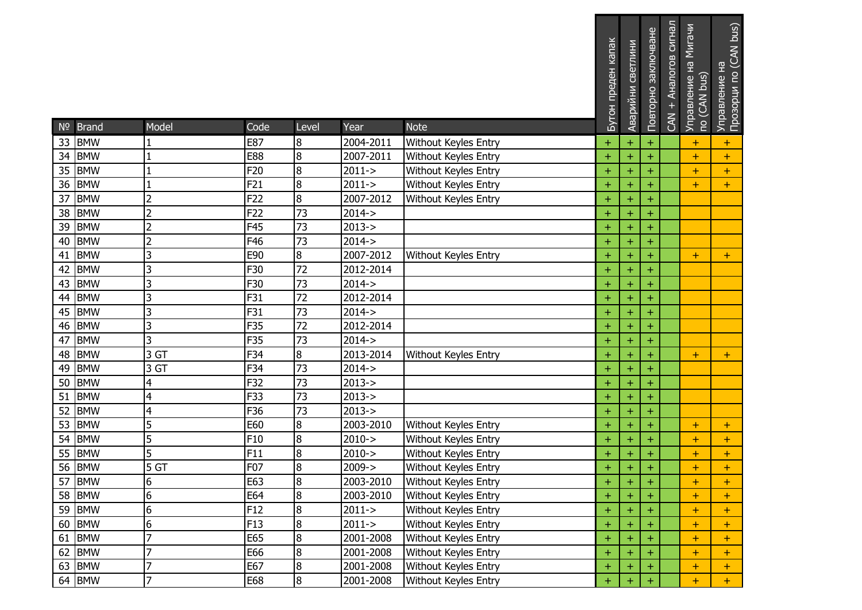| N <sup>o</sup> | <b>Brand</b> | Model          | Code            | Level          | Year       | <b>Note</b>                 | Бутон преден капак | светлини<br>Аварийни | Повторно заключване | CAN + Аналогов сигнал | Управление на Мигачи<br>no (CAN bus) | Прозорци по (CAN bus)<br>Управление на |
|----------------|--------------|----------------|-----------------|----------------|------------|-----------------------------|--------------------|----------------------|---------------------|-----------------------|--------------------------------------|----------------------------------------|
| 33             | <b>BMW</b>   |                | E87             | 8              | 2004-2011  | Without Keyles Entry        | $\ddot{}$          | $\ddot{}$            | $+$                 |                       | $\pm$                                | $\pm$                                  |
| 34             | <b>BMW</b>   | 1              | <b>E88</b>      | 8              | 2007-2011  | Without Keyles Entry        | $\ddot{}$          | $\ddot{}$            | $\pm$               |                       | $\pm$                                | $+$                                    |
| 35             | <b>BMW</b>   |                | F20             | $\overline{8}$ | $2011 - >$ | Without Keyles Entry        | $\ddot{}$          | $\ddot{}$            | $+$                 |                       | $\ddot{}$                            | $+$                                    |
| 36             | <b>BMW</b>   | $\mathbf{1}$   | F21             | 8              | $2011 - >$ | Without Keyles Entry        | $\ddot{}$          | $\ddot{}$            | $\ddot{}$           |                       | $\ddot{}$                            | $+$                                    |
| 37             | <b>BMW</b>   | $\overline{2}$ | F22             | 8              | 2007-2012  | Without Keyles Entry        | $\pm$              | $\ddot{}$            | $\pm$               |                       |                                      |                                        |
| 38             | <b>BMW</b>   | $\overline{2}$ | F22             | 73             | $2014 - >$ |                             | $\ddot{}$          | $\ddot{}$            | $\ddot{}$           |                       |                                      |                                        |
| 39             | <b>BMW</b>   | $\overline{c}$ | F45             | 73             | $2013 - >$ |                             | $\pm$              | $\ddot{}$            | $+$                 |                       |                                      |                                        |
| 40             | <b>BMW</b>   | $\overline{2}$ | F46             | 73             | $2014 - >$ |                             | $\ddot{}$          | $\ddot{}$            | $\ddot{}$           |                       |                                      |                                        |
| 41             | <b>BMW</b>   | 3              | E90             | 8              | 2007-2012  | <b>Without Keyles Entry</b> | $+$                | $\ddot{}$            | $+$                 |                       | $\pm$                                | $+$                                    |
| 42             | <b>BMW</b>   | 3              | F30             | 72             | 2012-2014  |                             | $\ddot{}$          | $\ddot{}$            | $\ddot{}$           |                       |                                      |                                        |
| 43             | <b>BMW</b>   | 3              | F30             | 73             | $2014 - >$ |                             | $\ddot{}$          | $\ddot{}$            | $\pm$               |                       |                                      |                                        |
| 44             | <b>BMW</b>   | 3              | F31             | 72             | 2012-2014  |                             | $\ddot{}$          | $\ddot{}$            | $\pm$               |                       |                                      |                                        |
| 45             | <b>BMW</b>   | 3              | F31             | 73             | $2014 - >$ |                             | $\ddot{}$          | $\ddot{}$            | $\ddot{}$           |                       |                                      |                                        |
| 46             | <b>BMW</b>   | 3              | F35             | 72             | 2012-2014  |                             | $\ddot{}$          | $\ddot{}$            | $\ddot{}$           |                       |                                      |                                        |
| 47             | <b>BMW</b>   | 3              | F35             | 73             | $2014 - >$ |                             | $\pm$              | $\ddot{}$            | $\pm$               |                       |                                      |                                        |
| 48             | <b>BMW</b>   | 3 GT           | F34             | $\overline{8}$ | 2013-2014  | Without Keyles Entry        | $\ddot{}$          | $\ddot{}$            | $+$                 |                       | $+$                                  | $+$                                    |
| 49             | <b>BMW</b>   | 3 GT           | F34             | 73             | $2014 - >$ |                             | $\pm$              | $\ddot{}$            | $+$                 |                       |                                      |                                        |
| 50             | <b>BMW</b>   | 4              | F32             | 73             | $2013 - >$ |                             | $\ddot{}$          | $\ddot{}$            | $\ddot{}$           |                       |                                      |                                        |
| 51             | <b>BMW</b>   | 4              | F33             | 73             | $2013 - >$ |                             | $\pm$              | $\ddot{}$            | $\ddot{}$           |                       |                                      |                                        |
| 52             | <b>BMW</b>   | 4              | F36             | 73             | $2013 - >$ |                             | $\ddot{}$          | $\ddot{}$            | $\ddot{}$           |                       |                                      |                                        |
| 53             | <b>BMW</b>   | 5              | E60             | 8              | 2003-2010  | Without Keyles Entry        | $\ddot{}$          | $\ddot{}$            | $\pm$               |                       | $\pm$                                | $+$                                    |
| 54             | <b>BMW</b>   | 5              | F10             | 8              | $2010 - >$ | Without Keyles Entry        | $\pm$              | $\ddot{}$            | $\pm$               |                       | $\ddot{}$                            | $+$                                    |
| 55             | <b>BMW</b>   | 5              | F11             | 8              | $2010 - >$ | Without Keyles Entry        | Ŧ                  | $\ddot{}$            |                     |                       | $\pm$                                | $\pm$                                  |
|                | 56 BMW       | 5 GT           | F07             | 8              | $2009 - >$ | <b>Without Keyles Entry</b> | $\ddot{}$          | $\ddot{}$            | $\pm$               |                       | $\ddot{}$                            | $+$                                    |
|                | 57 BMW       | 6              | E63             | 18             | 2003-2010  | Without Keyles Entry        | ÷                  | $\pm$                | $\pm$               |                       | ÷                                    | ÷                                      |
|                | 58 BMW       | 6              | E64             | 8              | 2003-2010  | Without Keyles Entry        | $\ddot{}$          | $\ddot{}$            | $+$                 |                       | $\pm$                                | $+$                                    |
|                | 59 BMW       | 6              | F <sub>12</sub> | 8              | $2011 - >$ | Without Keyles Entry        | $\pm$              | $\pm$                |                     |                       | $\pm$                                | $+$                                    |
|                | 60 BMW       | 6              | F13             | 8              | $2011 - >$ | Without Keyles Entry        | $\pm$              | $\pm$                |                     |                       | $\pm$                                | $+$                                    |
|                | 61 BMW       | $\overline{7}$ | E65             | 8              | 2001-2008  | Without Keyles Entry        | $\pm$              | $\ddot{}$            |                     |                       | $\ddot{}$                            | $+$                                    |
|                | 62 BMW       | $\overline{7}$ | E66             | 8              | 2001-2008  | Without Keyles Entry        | $+$                | $\ddot{}$            |                     |                       | $\pm$                                | $\pm$                                  |
|                | 63 BMW       | $\overline{7}$ | E67             | 8              | 2001-2008  | Without Keyles Entry        | $\ddot{}$          | $\ddot{}$            |                     |                       | $\pm$                                | $+$                                    |
|                | 64 BMW       | $\overline{7}$ | E68             | 8              | 2001-2008  | Without Keyles Entry        | $\pm$              | $\pm$                |                     |                       | $\pm$                                | $+$                                    |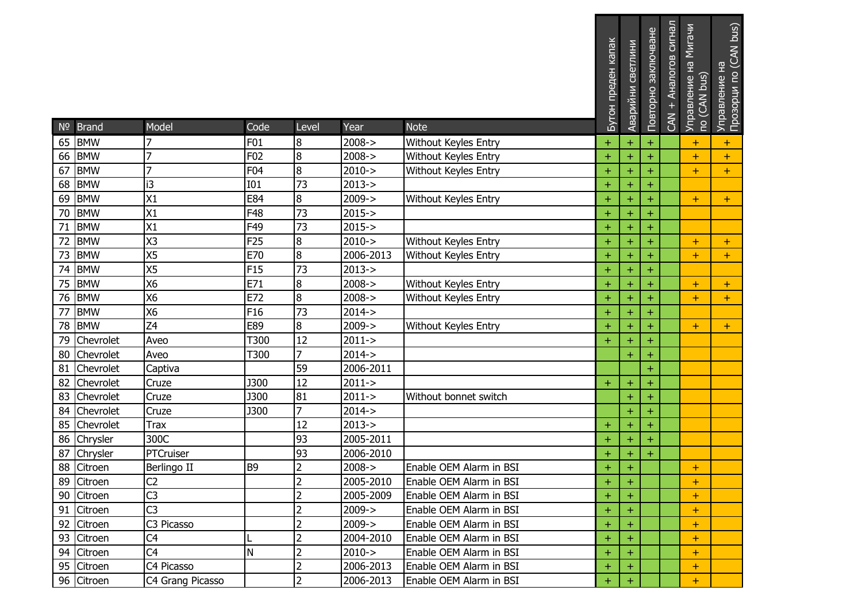|    | Nº Brand     | Model            | Code            | Level            | Year       | <b>Note</b>             | Бутон преден капак | Аварийни светлини | Повторно заключване | CAN + Аналогов сигнал | Управление на Мигачи<br>по (CAN bus) | Управление на<br>Прозорци по (CAN bus) |
|----|--------------|------------------|-----------------|------------------|------------|-------------------------|--------------------|-------------------|---------------------|-----------------------|--------------------------------------|----------------------------------------|
| 65 | <b>BMW</b>   | 7                | F01             | 8                | $2008 - >$ | Without Keyles Entry    | $\pm$              | $\pm$             | $\pm$               |                       | $\pm$                                | $+$                                    |
| 66 | <b>BMW</b>   | $\overline{7}$   | F02             | 8                | $2008 - >$ | Without Keyles Entry    | $\pm$              | $\ddot{}$         | $\pm$               |                       | $\ddot{}$                            | $+$                                    |
| 67 | <b>BMW</b>   | $\overline{7}$   | F04             | $\infty$         | $2010 - >$ | Without Keyles Entry    | $\ddot{}$          | $\ddot{}$         | Ŧ                   |                       | $\ddot{}$                            | $+$                                    |
| 68 | <b>BMW</b>   | i3               | <b>I01</b>      | 73               | $2013 - >$ |                         | $\ddot{}$          | $\ddot{}$         | $\pm$               |                       |                                      |                                        |
| 69 | <b>BMW</b>   | X1               | E84             | $\overline{8}$   | 2009->     | Without Keyles Entry    | $\pm$              | $\pm$             | $\pm$               |                       | $\ddot{}$                            | $+$                                    |
| 70 | <b>BMW</b>   | X1               | F48             | 73               | $2015 - >$ |                         | $\ddot{}$          | $\ddot{}$         | Ŧ                   |                       |                                      |                                        |
| 71 | <b>BMW</b>   | X1               | F49             | 73               | 2015->     |                         | $\pm$              | $\ddot{}$         | $\pm$               |                       |                                      |                                        |
| 72 | <b>BMW</b>   | X3               | F <sub>25</sub> | $\boldsymbol{8}$ | $2010 - >$ | Without Keyles Entry    | $\pm$              | $\ddot{}$         | $\pm$               |                       | $\pm$                                | $+$                                    |
| 73 | <b>BMW</b>   | X <sub>5</sub>   | E70             | $\overline{8}$   | 2006-2013  | Without Keyles Entry    | $\ddot{}$          | $\ddot{}$         | ÷                   |                       | $\ddot{}$                            | $+$                                    |
| 74 | <b>BMW</b>   | X <sub>5</sub>   | F <sub>15</sub> | 73               | $2013 - >$ |                         | $\pm$              | $\ddot{}$         | $\pm$               |                       |                                      |                                        |
| 75 | <b>BMW</b>   | X6               | E71             | 8                | $2008 - >$ | Without Keyles Entry    | $\ddot{}$          | $\ddot{}$         | $\pm$               |                       | $\pm$                                | $+$                                    |
| 76 | <b>BMW</b>   | X6               | E72             | 8                | $2008 - >$ | Without Keyles Entry    | $\pm$              | $\ddot{}$         | $\pm$               |                       | $+$                                  | $+$                                    |
| 77 | <b>BMW</b>   | X6               | F <sub>16</sub> | $\overline{73}$  | $2014 - >$ |                         | Ŧ                  | $\ddot{}$         | Ŧ                   |                       |                                      |                                        |
| 78 | <b>BMW</b>   | Z <sub>4</sub>   | E89             | 8                | $2009 - >$ | Without Keyles Entry    | $\ddot{}$          | $\ddot{}$         | $\pm$               |                       | $\pm$                                | $+$                                    |
| 79 | Chevrolet    | Aveo             | T300            | 12               | $2011 - >$ |                         | $\pm$              | $\pm$             | $\pm$               |                       |                                      |                                        |
| 80 | Chevrolet    | Aveo             | T300            | 7                | $2014 - >$ |                         |                    | $\ddot{}$         | Ŧ                   |                       |                                      |                                        |
|    | 81 Chevrolet | Captiva          |                 | 59               | 2006-2011  |                         |                    |                   | $+$                 |                       |                                      |                                        |
| 82 | Chevrolet    | Cruze            | <b>J300</b>     | $\overline{12}$  | $2011 - >$ |                         | $+$                | $\ddot{}$         | $\pm$               |                       |                                      |                                        |
|    | 83 Chevrolet | Cruze            | <b>J300</b>     | 81               | $2011 - >$ | Without bonnet switch   |                    | $\ddot{}$         | Ŧ                   |                       |                                      |                                        |
| 84 | Chevrolet    | Cruze            | <b>J300</b>     | 7                | $2014 - >$ |                         |                    | $\ddot{}$         | $\pm$               |                       |                                      |                                        |
| 85 | Chevrolet    | <b>Trax</b>      |                 | 12               | $2013 - >$ |                         | $\pm$              | $\ddot{}$         | $\pm$               |                       |                                      |                                        |
|    | 86 Chrysler  | 300C             |                 | 93               | 2005-2011  |                         | $\pm$              | $\ddot{}$         | ÷                   |                       |                                      |                                        |
| 87 | Chrysler     | PTCruiser        |                 | 93               | 2006-2010  |                         | Ŧ                  | $\ddot{}$         | Ŧ                   |                       |                                      |                                        |
|    | 88 Citroen   | Berlingo II      | B <sub>9</sub>  | $\overline{2}$   | $2008 - >$ | Enable OEM Alarm in BSI | $\pm$              | $\ddot{}$         |                     |                       | $\pm$                                |                                        |
|    | 89 Citroen   | IC <sub>2</sub>  |                 | $\overline{2}$   | 2005-2010  | Enable OEM Alarm in BSI | ÷                  | $\pm$             |                     |                       | $\pm$                                |                                        |
|    | 90 Citroen   | C <sub>3</sub>   |                 | $\overline{2}$   | 2005-2009  | Enable OEM Alarm in BSI | $\ddot{}$          | $\ddot{}$         |                     |                       | $\pm$                                |                                        |
|    | 91 Citroen   | C <sub>3</sub>   |                 | $\overline{2}$   | $2009 - >$ | Enable OEM Alarm in BSI | $\pm$              | $+$               |                     |                       | $\pm$                                |                                        |
|    | 92 Citroen   | C3 Picasso       |                 | $\overline{2}$   | $2009 - >$ | Enable OEM Alarm in BSI | $\pm$              | $\pm$             |                     |                       | $\pm$                                |                                        |
|    | 93 Citroen   | C <sub>4</sub>   |                 | $\overline{2}$   | 2004-2010  | Enable OEM Alarm in BSI | $\pm$              | $\pm$             |                     |                       | $\pm$                                |                                        |
|    | 94 Citroen   | C <sub>4</sub>   | N               | $\overline{2}$   | $2010 - >$ | Enable OEM Alarm in BSI | $\pm$              | $\ddot{}$         |                     |                       | $\ddot{}$                            |                                        |
|    | 95 Citroen   | C4 Picasso       |                 | 2                | 2006-2013  | Enable OEM Alarm in BSI | $\pm$              | $\pm$             |                     |                       | $\pm$                                |                                        |
|    | 96 Citroen   | C4 Grang Picasso |                 | $\overline{2}$   | 2006-2013  | Enable OEM Alarm in BSI | $+$                | $\pm$             |                     |                       | $\pm$                                |                                        |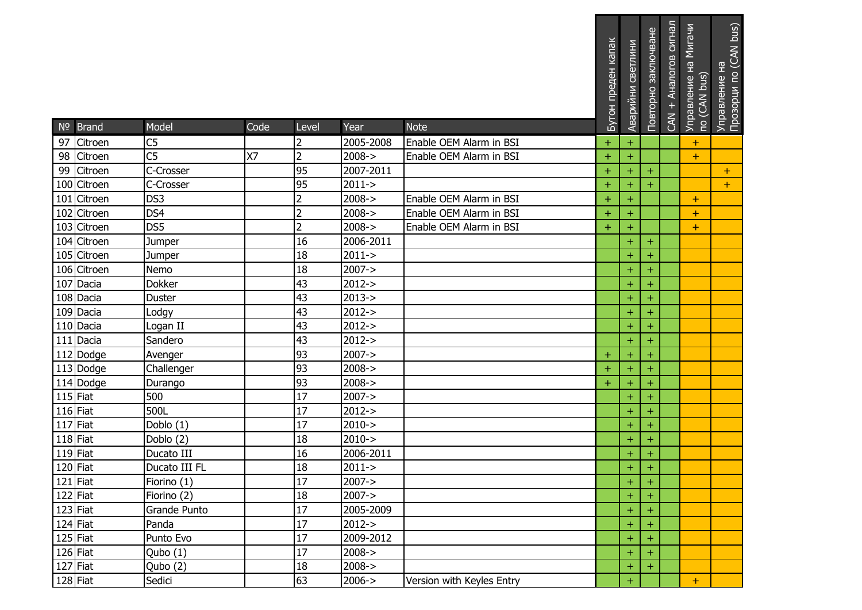|            |                           |                                   |      |                     |                   |                                                    | Бутон преден капак     | Аварийни светлини      | Повторно заключване | CAN + Аналогов сигнал | Управление на Мигачи<br>по (CAN bus) | Управление на<br>Прозорци по (CAN bus) |
|------------|---------------------------|-----------------------------------|------|---------------------|-------------------|----------------------------------------------------|------------------------|------------------------|---------------------|-----------------------|--------------------------------------|----------------------------------------|
|            | Nº Brand                  | Model                             | Code | Level               | Year<br>2005-2008 | <b>Note</b>                                        |                        |                        |                     |                       |                                      |                                        |
|            | 97 Citroen<br>98 Citroen  | C <sub>5</sub><br>$\overline{C5}$ | X7   | 2<br>$\overline{2}$ | $2008 - >$        | Enable OEM Alarm in BSI<br>Enable OEM Alarm in BSI | $\ddot{}$<br>$\ddot{}$ | $\pm$                  |                     |                       | $\pm$<br>$\pm$                       |                                        |
|            |                           | C-Crosser                         |      | 95                  | 2007-2011         |                                                    |                        | $\ddot{}$              |                     |                       |                                      |                                        |
|            | 99 Citroen<br>100 Citroen | C-Crosser                         |      | 95                  | $2011 - >$        |                                                    | $\pm$                  | $\ddot{}$<br>$\ddot{}$ | $\pm$               |                       |                                      | $+$<br>$+$                             |
|            | 101 Citroen               | DS3                               |      | $\overline{c}$      | $2008 - >$        | Enable OEM Alarm in BSI                            | $\ddot{}$<br>$+$       | $\ddot{}$              | $\boldsymbol{+}$    |                       |                                      |                                        |
|            | 102 Citroen               | DS4                               |      | $\overline{2}$      | $2008 - >$        | Enable OEM Alarm in BSI                            | $\pm$                  | $\pm$                  |                     |                       | $\pm$<br>$\pm$                       |                                        |
|            | 103 Citroen               | DS5                               |      | $\overline{2}$      | $2008 - >$        | Enable OEM Alarm in BSI                            | $\pm$                  | $\ddot{}$              |                     |                       | $\pm$                                |                                        |
|            | 104 Citroen               | Jumper                            |      | 16                  | 2006-2011         |                                                    |                        | $\ddot{}$              | $+$                 |                       |                                      |                                        |
|            | 105 Citroen               | Jumper                            |      | 18                  | $2011 - >$        |                                                    |                        | $\ddot{}$              | $\pm$               |                       |                                      |                                        |
|            | 106 Citroen               | Nemo                              |      | 18                  | $2007 - >$        |                                                    |                        | $\ddot{}$              | $\pm$               |                       |                                      |                                        |
|            | 107 Dacia                 | Dokker                            |      | 43                  | $2012 - >$        |                                                    |                        | $\ddot{}$              | $\pm$               |                       |                                      |                                        |
|            | 108 Dacia                 | Duster                            |      | 43                  | $2013 - >$        |                                                    |                        | $\ddot{}$              | $\pm$               |                       |                                      |                                        |
|            | 109 Dacia                 | Lodgy                             |      | 43                  | $2012 - >$        |                                                    |                        | $\ddot{}$              | $+$                 |                       |                                      |                                        |
|            | 110 Dacia                 | Logan II                          |      | 43                  | $2012 - >$        |                                                    |                        | $\ddot{}$              | $\boldsymbol{+}$    |                       |                                      |                                        |
|            | 111 Dacia                 | Sandero                           |      | 43                  | $2012 - >$        |                                                    |                        | $\ddot{}$              | $\pm$               |                       |                                      |                                        |
|            | 112 Dodge                 | Avenger                           |      | 93                  | $2007 - >$        |                                                    | $\pm$                  | $\pm$                  | $\pm$               |                       |                                      |                                        |
|            | 113 Dodge                 | Challenger                        |      | 93                  | $2008 - >$        |                                                    | $\ddot{}$              | $\ddot{}$              | $\boldsymbol{+}$    |                       |                                      |                                        |
|            | 114 Dodge                 | Durango                           |      | 93                  | $2008 - >$        |                                                    | $\ddot{}$              | $\ddot{}$              | $+$                 |                       |                                      |                                        |
|            | $115$ Fiat                | 500                               |      | 17                  | $2007 - >$        |                                                    |                        | $\ddot{}$              | ÷                   |                       |                                      |                                        |
| $116$ Fiat |                           | 500L                              |      | 17                  | $2012 - >$        |                                                    |                        | $\ddot{}$              | $\pm$               |                       |                                      |                                        |
| $117$ Fiat |                           | Doblo (1)                         |      | 17                  | $2010 - >$        |                                                    |                        | $\ddot{}$              | $\pm$               |                       |                                      |                                        |
| 118 Fiat   |                           | Doblo (2)                         |      | 18                  | $2010 - >$        |                                                    |                        | $\ddot{}$              | $\pm$               |                       |                                      |                                        |
| $119$ Fiat |                           | Ducato III                        |      | 16                  | 2006-2011         |                                                    |                        | $\ddot{}$              | $\pm$               |                       |                                      |                                        |
| 120 Fiat   |                           | Ducato III FL                     |      | 18                  | $2011 - >$        |                                                    |                        | $\pm$                  | $\pm$               |                       |                                      |                                        |
| 121 Fiat   |                           | Fiorino $(1)$                     |      | 17                  | $2007 - >$        |                                                    |                        | $\pm$                  | $+$                 |                       |                                      |                                        |
| $122$ Fiat |                           | Fiorino (2)                       |      | 18                  | $2007 - >$        |                                                    |                        | $+$                    | $\pm$               |                       |                                      |                                        |
|            | $123$ Fiat                | Grande Punto                      |      | 17                  | 2005-2009         |                                                    |                        | $\pm$                  | $\ddot{}$           |                       |                                      |                                        |
|            | 124 Fiat                  | Panda                             |      | 17                  | $2012 - >$        |                                                    |                        | $\ddot{}$              |                     |                       |                                      |                                        |
|            | $125$ Fiat                | Punto Evo                         |      | 17                  | 2009-2012         |                                                    |                        | $\color{red}+$         | $\pm$               |                       |                                      |                                        |
|            | 126 Fiat                  | Qubo (1)                          |      | 17                  | $2008 - >$        |                                                    |                        | $\ddot{}$              | $\pm$               |                       |                                      |                                        |
|            | 127 Fiat                  | Qubo (2)                          |      | 18                  | $2008 - >$        |                                                    |                        | $\pm$                  | $\pm$               |                       |                                      |                                        |
|            | $128$ Fiat                | Sedici                            |      | 63                  | $2006 - >$        | Version with Keyles Entry                          |                        | $\ddot{}$              |                     |                       | ÷.                                   |                                        |

. . . . . . .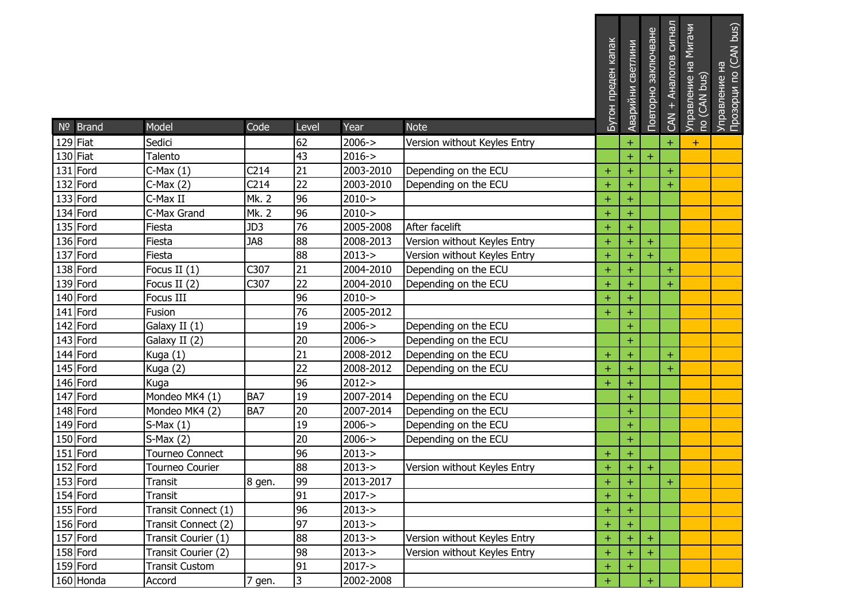| Nº Brand   | Model                 | Code             | Level          | Year       | <b>Note</b>                  | Бутон преден капак | Аварийни светлини | Повторно заключване | сигнал<br>CAN + AHanoroB | Мигачи<br>Управление на N<br>по (CAN bus) | Прозорци по (CAN bus)<br>Управление на |
|------------|-----------------------|------------------|----------------|------------|------------------------------|--------------------|-------------------|---------------------|--------------------------|-------------------------------------------|----------------------------------------|
| 129 Fiat   | Sedici                |                  | 62             | $2006 - >$ | Version without Keyles Entry |                    | $\ddot{}$         |                     | $+$                      | $\pm$                                     |                                        |
| $130$ Fiat | Talento               |                  | 43             | $2016 - >$ |                              |                    | $\ddot{}$         | $\pm$               |                          |                                           |                                        |
| 131 Ford   | $C$ -Max $(1)$        | C <sub>214</sub> | 21             | 2003-2010  | Depending on the ECU         | $\ddot{}$          | $\ddot{}$         |                     | $\ddot{}$                |                                           |                                        |
| 132 Ford   | $C-Max(2)$            | C <sub>214</sub> | 22             | 2003-2010  | Depending on the ECU         | $\ddot{}$          | $\ddot{}$         |                     | $+$                      |                                           |                                        |
| 133 Ford   | C-Max II              | Mk. 2            | 96             | $2010 - >$ |                              | $\pm$              | $\pm$             |                     |                          |                                           |                                        |
| 134 Ford   | C-Max Grand           | <b>Mk. 2</b>     | 96             | $2010 - >$ |                              | $\ddot{}$          | $\ddot{}$         |                     |                          |                                           |                                        |
| 135 Ford   | Fiesta                | JD3              | 76             | 2005-2008  | After facelift               | $\pm$              | $\pm$             |                     |                          |                                           |                                        |
| 136 Ford   | Fiesta                | JA8              | 88             | 2008-2013  | Version without Keyles Entry | $\pm$              | $\ddot{}$         | $\pm$               |                          |                                           |                                        |
| 137 Ford   | Fiesta                |                  | 88             | $2013 - >$ | Version without Keyles Entry | $\ddot{}$          | $\ddot{}$         | $\ddot{}$           |                          |                                           |                                        |
| 138 Ford   | Focus II (1)          | C307             | 21             | 2004-2010  | Depending on the ECU         | $\pm$              | $\ddot{}$         |                     | $+$                      |                                           |                                        |
| 139 Ford   | Focus II (2)          | C307             | 22             | 2004-2010  | Depending on the ECU         | $\pm$              | $\ddot{}$         |                     | $+$                      |                                           |                                        |
| 140 Ford   | Focus III             |                  | 96             | $2010 - >$ |                              | $+$                | $\ddot{}$         |                     |                          |                                           |                                        |
| 141 Ford   | Fusion                |                  | 76             | 2005-2012  |                              | $\ddot{}$          | $\ddot{}$         |                     |                          |                                           |                                        |
| 142 Ford   | Galaxy II (1)         |                  | 19             | $2006 - >$ | Depending on the ECU         |                    | $\ddot{}$         |                     |                          |                                           |                                        |
| 143 Ford   | Galaxy II (2)         |                  | 20             | $2006 - >$ | Depending on the ECU         |                    | $\ddot{}$         |                     |                          |                                           |                                        |
| 144 Ford   | Kuga (1)              |                  | 21             | 2008-2012  | Depending on the ECU         | $\pm$              | $\ddot{}$         |                     | $+$                      |                                           |                                        |
| 145 Ford   | Kuga (2)              |                  | 22             | 2008-2012  | Depending on the ECU         | $+$                | $\ddot{}$         |                     | $+$                      |                                           |                                        |
| 146 Ford   | Kuga                  |                  | 96             | $2012 - >$ |                              | $\pm$              | $\ddot{}$         |                     |                          |                                           |                                        |
| 147 Ford   | Mondeo MK4 (1)        | BA7              | 19             | 2007-2014  | Depending on the ECU         |                    | $\ddot{}$         |                     |                          |                                           |                                        |
| 148 Ford   | Mondeo MK4 (2)        | BA7              | 20             | 2007-2014  | Depending on the ECU         |                    | $\ddot{}$         |                     |                          |                                           |                                        |
| 149 Ford   | $S-Max(1)$            |                  | 19             | $2006 - >$ | Depending on the ECU         |                    | $\ddot{}$         |                     |                          |                                           |                                        |
| 150 Ford   | $S-Max(2)$            |                  | 20             | $2006 - >$ | Depending on the ECU         |                    | $\ddot{}$         |                     |                          |                                           |                                        |
| 151 Ford   | Tourneo Connect       |                  | 96             | $2013 - >$ |                              | $\pm$              | $\ddot{}$         |                     |                          |                                           |                                        |
| 152 Ford   | Tourneo Courier       |                  | 88             | $2013 - >$ | Version without Keyles Entry | $\pm$              | $\ddot{}$         | $\pm$               |                          |                                           |                                        |
| 153 Ford   | Transit               | 8 gen.           | 99             | 2013-2017  |                              | $\pm$              | $\pm$             |                     | $+$                      |                                           |                                        |
| 154 Ford   | Transit               |                  | 91             | $2017 - >$ |                              | $\ddot{}$          | $\ddot{}$         |                     |                          |                                           |                                        |
| 155 Ford   | Transit Connect (1)   |                  | 96             | $2013 - >$ |                              | $\pm$              | $\ddot{}$         |                     |                          |                                           |                                        |
| 156 Ford   | Transit Connect (2)   |                  | 97             | $2013 - >$ |                              | $\pm$              | $\pm$             |                     |                          |                                           |                                        |
| 157 Ford   | Transit Courier (1)   |                  | 88             | $2013 - >$ | Version without Keyles Entry | $+$                | $\ddot{}$         | $+$                 |                          |                                           |                                        |
| 158 Ford   | Transit Courier (2)   |                  | 98             | $2013 - >$ | Version without Keyles Entry | $\pm$              | $\ddot{}$         |                     |                          |                                           |                                        |
| 159 Ford   | <b>Transit Custom</b> |                  | 91             | $2017 - >$ |                              | $\pm$              | $\pm$             |                     |                          |                                           |                                        |
| 160 Honda  | Accord                | 7 gen.           | $\overline{3}$ | 2002-2008  |                              | $\pm$              |                   | $+$                 |                          |                                           |                                        |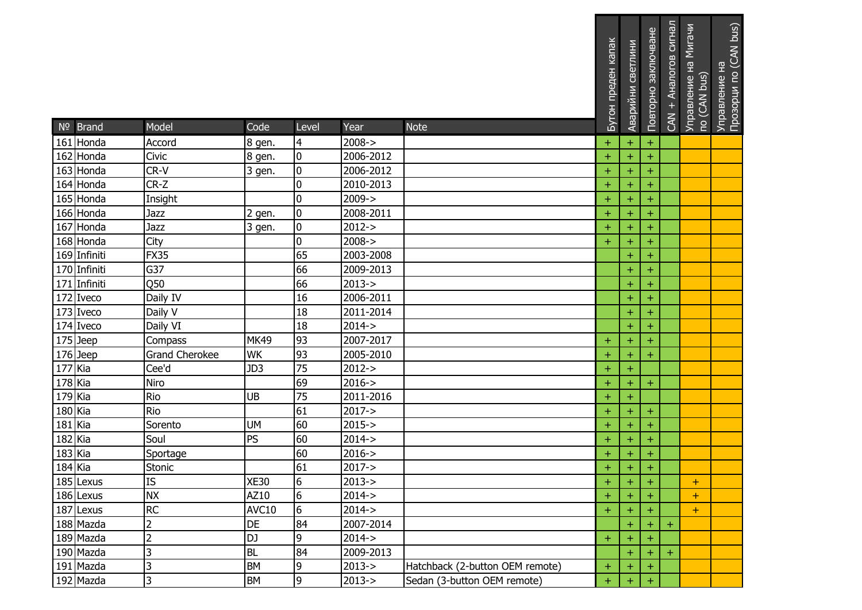|           | $No$ Brand   | Model          | Code        | Level           | Year       | <b>Note</b>                     | Бутон преден капак | Аварийни светлини | Повторно заключване | CAN + Аналогов сигнал | Управление на Мигачи<br>по (CAN bus) | Прозорци по (CAN bus)<br>Управление на |
|-----------|--------------|----------------|-------------|-----------------|------------|---------------------------------|--------------------|-------------------|---------------------|-----------------------|--------------------------------------|----------------------------------------|
|           | 161 Honda    | Accord         | 8 gen.      | 4               | $2008 - >$ |                                 | $\ddot{}$          | $\pm$             | $\pm$               |                       |                                      |                                        |
|           | 162 Honda    | Civic          | 8 gen.      | 0               | 2006-2012  |                                 | $\pm$              | $\ddot{}$         | $\boldsymbol{+}$    |                       |                                      |                                        |
|           | 163 Honda    | CR-V           | 3 gen.      | 0               | 2006-2012  |                                 | $\pm$              | $\pm$             | ÷                   |                       |                                      |                                        |
|           | 164 Honda    | $CR-Z$         |             | $\mathbf 0$     | 2010-2013  |                                 | $\ddot{}$          | $\ddot{}$         | $\boldsymbol{+}$    |                       |                                      |                                        |
|           | 165 Honda    | Insight        |             | 0               | $2009 - >$ |                                 | $\pm$              | $\ddot{}$         | $\pm$               |                       |                                      |                                        |
|           | 166 Honda    | Jazz           | 2 gen.      | 0               | 2008-2011  |                                 | $\pm$              | $\pm$             | $\pm$               |                       |                                      |                                        |
|           | 167 Honda    | Jazz           | 3 gen.      | 0               | $2012 - >$ |                                 | $\ddot{}$          | $\ddot{}$         | $\pm$               |                       |                                      |                                        |
|           | 168 Honda    | City           |             | 0               | $2008 - >$ |                                 | $\pm$              | $+$               | $\pm$               |                       |                                      |                                        |
|           | 169 Infiniti | <b>FX35</b>    |             | 65              | 2003-2008  |                                 |                    | $\ddot{}$         | $\pm$               |                       |                                      |                                        |
|           | 170 Infiniti | G37            |             | 66              | 2009-2013  |                                 |                    | $\ddot{}$         | $\pm$               |                       |                                      |                                        |
|           | 171 Infiniti | Q50            |             | 66              | $2013 - >$ |                                 |                    | $\ddot{}$         | $\pm$               |                       |                                      |                                        |
|           | 172 Iveco    | Daily IV       |             | 16              | 2006-2011  |                                 |                    | $\ddot{}$         | $\pm$               |                       |                                      |                                        |
|           | 173 Iveco    | Daily V        |             | 18              | 2011-2014  |                                 |                    | $\pm$             | $\pm$               |                       |                                      |                                        |
|           | 174 Iveco    | Daily VI       |             | 18              | $2014 - >$ |                                 |                    | $\ddot{}$         | $\pm$               |                       |                                      |                                        |
|           | $175$ Jeep   | Compass        | MK49        | 93              | 2007-2017  |                                 | $\pm$              | $\ddot{}$         | $\pm$               |                       |                                      |                                        |
|           | $176$ Jeep   | Grand Cherokee | <b>WK</b>   | 93              | 2005-2010  |                                 | $\pm$              | $\pm$             | ÷                   |                       |                                      |                                        |
| 177 Kia   |              | Cee'd          | JD3         | 75              | $2012 - >$ |                                 | $\ddot{}$          | $\ddot{}$         |                     |                       |                                      |                                        |
| $178$ Kia |              | Niro           |             | 69              | $2016 - >$ |                                 | $\pm$              | $+$               | $\pm$               |                       |                                      |                                        |
| $179$ Kia |              | Rio            | <b>UB</b>   | $\overline{75}$ | 2011-2016  |                                 | $\pm$              | $\color{red}+$    |                     |                       |                                      |                                        |
| 180 Kia   |              | Rio            |             | 61              | $2017 - >$ |                                 | $\pm$              | $\pm$             | $\pm$               |                       |                                      |                                        |
| $181$ Kia |              | Sorento        | <b>UM</b>   | 60              | $2015 - >$ |                                 | $\pm$              | $\pm$             | $\pm$               |                       |                                      |                                        |
| 182 Kia   |              | Soul           | <b>PS</b>   | 60              | $2014 - >$ |                                 | $+$                | $\pm$             | $\pm$               |                       |                                      |                                        |
| 183 Kia   |              | Sportage       |             | 60              | $2016 - >$ |                                 | $\pm$              | $\pm$             | $\pm$               |                       |                                      |                                        |
| 184 Kia   |              | Stonic         |             | 61              | $2017 - >$ |                                 | $\ddot{}$          | $\ddot{}$         | $\pm$               |                       |                                      |                                        |
|           | 185 Lexus    | IS             | <b>XE30</b> | $\overline{6}$  | $2013 - >$ |                                 | $\pm$              | $\pm$             | $\ddot{}$           |                       | +                                    |                                        |
|           | 186 Lexus    | <b>NX</b>      | AZ10        | 6               | $2014 - >$ |                                 | $\pm$              | $\pm$             | $\pm$               |                       | $\pm$                                |                                        |
|           | 187 Lexus    | <b>RC</b>      | AVC10       | 6               | $2014 - >$ |                                 | $+$                | $\pm$             |                     |                       | $\pm$                                |                                        |
|           | 188 Mazda    | $\overline{c}$ | <b>DE</b>   | 84              | 2007-2014  |                                 |                    | $\ddot{}$         | $\pm$               | $+$                   |                                      |                                        |
|           | 189 Mazda    | $\overline{2}$ | EQ          | 9               | $2014 - >$ |                                 | $\pm$              | $\pm$             | $\pm$               |                       |                                      |                                        |
|           | 190 Mazda    | 3              | <b>BL</b>   | 84              | 2009-2013  |                                 |                    | $\pm$             | $\pm$               | $+$                   |                                      |                                        |
|           | 191 Mazda    | 3              | <b>BM</b>   | 9               | $2013 - >$ | Hatchback (2-button OEM remote) | $\pm$              | $\pm$             | $\pm$               |                       |                                      |                                        |
|           | 192 Mazda    | $\overline{3}$ | <b>BM</b>   | 9               | $2013 - >$ | Sedan (3-button OEM remote)     | $\pm$              | $\pm$             | $\pm$               |                       |                                      |                                        |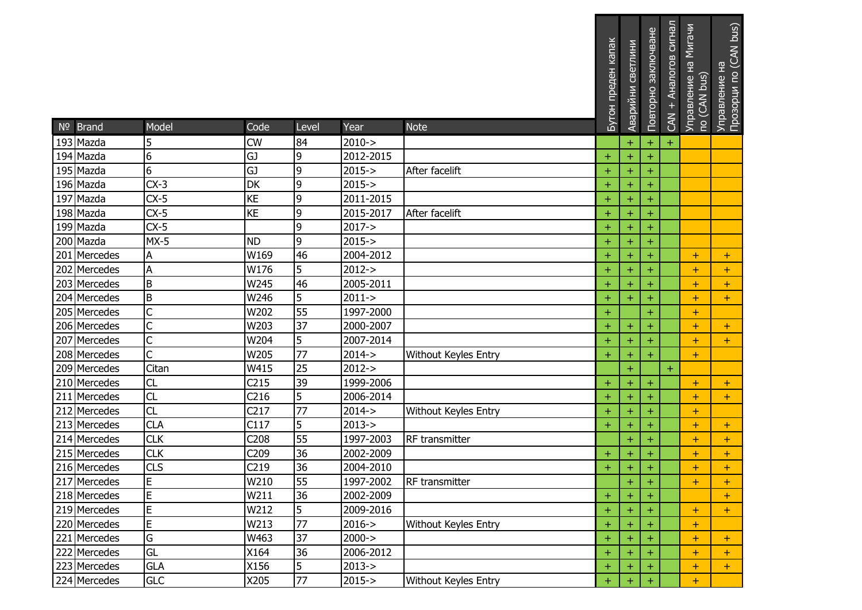|                       |                         |                   |                 |                    |                             | Бутон преден капак | Аварийни светлини      | Повторно заключване | CAN + Аналогов сигнал | Управление на Мигачи<br>по (CAN bus) | Управление на<br>Прозорци по (CAN bus) |
|-----------------------|-------------------------|-------------------|-----------------|--------------------|-----------------------------|--------------------|------------------------|---------------------|-----------------------|--------------------------------------|----------------------------------------|
| Nº Brand<br>193 Mazda | Model                   | Code<br><b>CW</b> | Level<br>84     | Year<br>$2010 - >$ | <b>Note</b>                 |                    |                        |                     |                       |                                      |                                        |
| 194 Mazda             | 5<br>6                  | GJ                | 9               | 2012-2015          |                             | $\pm$              | $\ddot{}$<br>$\ddot{}$ | $\pm$<br>$\pm$      | $\pm$                 |                                      |                                        |
| 195 Mazda             | 6                       | GJ                | 9               | $2015 - >$         | After facelift              | $\pm$              | $\pm$                  | $\pm$               |                       |                                      |                                        |
| 196 Mazda             | $CX-3$                  | <b>DK</b>         | 9               | $2015 - >$         |                             | $\pm$              | $\ddot{}$              | $\ddot{}$           |                       |                                      |                                        |
| 197 Mazda             | $CX-5$                  | KE                | 9               | 2011-2015          |                             | $+$                | $\ddot{}$              | $+$                 |                       |                                      |                                        |
| 198 Mazda             | $CX-5$                  | <b>KE</b>         | 9               | 2015-2017          | After facelift              | $\pm$              | $\pm$                  | $\pm$               |                       |                                      |                                        |
| 199 Mazda             | $CX-5$                  |                   | 9               | $2017 - >$         |                             | $\pm$              | $\ddot{}$              | $\pm$               |                       |                                      |                                        |
| 200 Mazda             | $MX-5$                  | <b>ND</b>         | 9               | $2015 - >$         |                             | $\pm$              | $\ddot{}$              | $\pm$               |                       |                                      |                                        |
| 201 Mercedes          | A                       | W169              | 46              | 2004-2012          |                             | $\pm$              | $\pm$                  | $\pm$               |                       | $\pm$                                | $+$                                    |
| 202 Mercedes          | A                       | W176              | 5               | $2012 - >$         |                             | $\pm$              | $\ddot{}$              | $\pm$               |                       | $\pm$                                | $+$                                    |
| 203 Mercedes          | $\sf B$                 | W245              | 46              | 2005-2011          |                             | $\pm$              | $\ddot{}$              | $\pm$               |                       | $\pm$                                | $+$                                    |
| 204 Mercedes          | $\sf B$                 | W246              | 5               | $2011 - >$         |                             | $\ddot{}$          | $\pm$                  |                     |                       | $\pm$                                | $+$                                    |
| 205 Mercedes          | C                       | W202              | 55              | 1997-2000          |                             | $\pm$              |                        | $\pm$               |                       | $\pm$                                |                                        |
| 206 Mercedes          | $\overline{\mathsf{C}}$ | W203              | $\overline{37}$ | 2000-2007          |                             | $\pm$              | $\ddot{}$              |                     |                       | $\pm$                                | $+$                                    |
| 207 Mercedes          | $\overline{C}$          | W204              | 5               | 2007-2014          |                             | $+$                | $\ddot{}$              |                     |                       | $\pm$                                | $+$                                    |
| 208 Mercedes          | C                       | W205              | 77              | $2014 - >$         | Without Keyles Entry        | $\pm$              | $\pm$                  | $\pm$               |                       | $\pm$                                |                                        |
| 209 Mercedes          | Citan                   | W415              | 25              | $2012 - >$         |                             |                    | $\ddot{}$              |                     | $+$                   |                                      |                                        |
| 210 Mercedes          | CL                      | C <sub>215</sub>  | 39              | 1999-2006          |                             | $\pm$              | $\ddot{}$              | $\pm$               |                       | $\pm$                                | $+$                                    |
| 211 Mercedes          | CL                      | C <sub>216</sub>  | 5               | 2006-2014          |                             | $\pm$              | $\pm$                  |                     |                       | $\pm$                                | $+$                                    |
| 212 Mercedes          | CL                      | C <sub>217</sub>  | 77              | $2014 - >$         | Without Keyles Entry        | $\pm$              | $\ddot{}$              | $\pm$               |                       | $\pm$                                |                                        |
| 213 Mercedes          | <b>CLA</b>              | C117              | 5               | $2013 - >$         |                             | $\pm$              | $\pm$                  | $\pm$               |                       | $\pm$                                | $\pm$                                  |
| 214 Mercedes          | <b>CLK</b>              | C208              | 55              | 1997-2003          | RF transmitter              |                    | $\ddot{}$              |                     |                       | $\pm$                                | $+$                                    |
| 215 Mercedes          | <b>CLK</b>              | C209              | 36              | 2002-2009          |                             | $\pm$              | $\pm$                  | $\pm$               |                       | $\pm$                                | $+$                                    |
| 216 Mercedes          | <b>CLS</b>              | C <sub>219</sub>  | 36              | 2004-2010          |                             | $\ddot{}$          | $\ddot{}$              | ÷                   |                       | $\pm$                                | $+$                                    |
| 217 Mercedes          | $\overline{E}$          | W210              | $\overline{55}$ |                    | 1997-2002 RF transmitter    |                    | $\pm$                  | $\pm$               |                       | ÷                                    | $+$                                    |
| 218 Mercedes          | E                       | W211              | 36              | 2002-2009          |                             | $\pm$              | $\pm$                  | ÷                   |                       |                                      | $+$                                    |
| 219 Mercedes          | E                       | W212              | 5               | 2009-2016          |                             | $\ddot{}$          | $\pm$                  |                     |                       | $\pm$                                | $+$                                    |
| 220 Mercedes          | E                       | W213              | 77              | $2016 - >$         | <b>Without Keyles Entry</b> | $\pm$              | $\ddot{}$              |                     |                       | $\pm$                                |                                        |
| 221 Mercedes          | G                       | W463              | 37              | $2000 - >$         |                             | $\pm$              | $\pm$                  |                     |                       | $\pm$                                | $+$                                    |
| 222 Mercedes          | GL                      | X164              | 36              | 2006-2012          |                             | $\pm$              | $+$                    |                     |                       | $\pm$                                | $+$                                    |
| 223 Mercedes          | <b>GLA</b>              | X156              | 5               | $2013 - >$         |                             | $\pm$              | $\ddot{}$              | $\pm$               |                       | $\pm$                                | $+$                                    |
| 224 Mercedes          | <b>GLC</b>              | X205              | 77              | $2015 - >$         | <b>Without Keyles Entry</b> | $\pm$              | $\pm$                  |                     |                       | $\pm$                                |                                        |

\_\_\_\_\_\_\_\_\_\_\_\_\_\_\_\_\_\_\_\_\_\_\_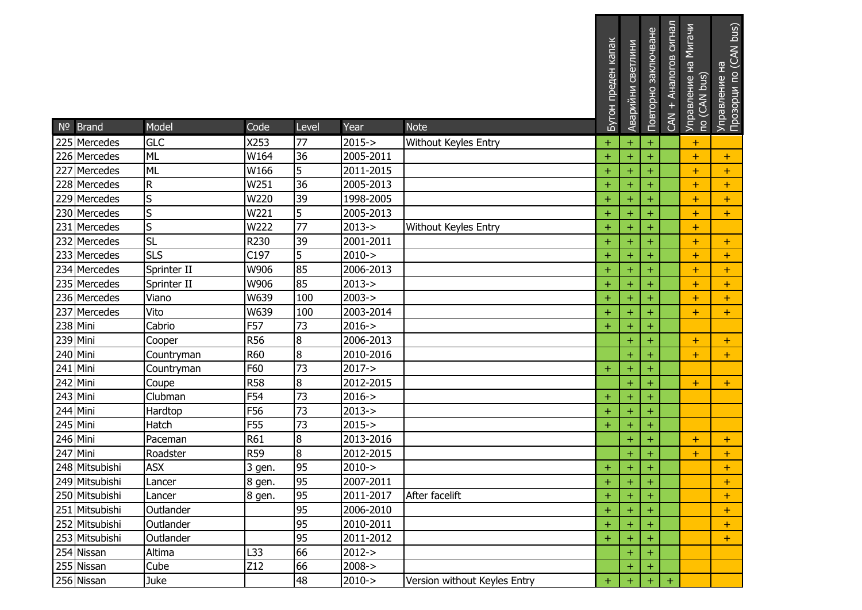| Nº Brand       | Model        | Code       | Level          | Year       | <b>Note</b>                  | Бутон преден капак | Аварийни светлини | Повторно заключване | CAN + Аналогов сигнал | Управление на Мигачи<br>по (CAN bus) | Управление на<br>Прозорци по (CAN bus) |
|----------------|--------------|------------|----------------|------------|------------------------------|--------------------|-------------------|---------------------|-----------------------|--------------------------------------|----------------------------------------|
| 225 Mercedes   | <b>GLC</b>   | X253       | 77             | $2015 - >$ | Without Keyles Entry         | $\pm$              | $\ddot{}$         | ÷                   |                       | $\pm$                                |                                        |
| 226 Mercedes   | <b>ML</b>    | W164       | 36             | 2005-2011  |                              | $+$                | $\ddot{}$         | ÷                   |                       | $\pm$                                | $+$                                    |
| 227 Mercedes   | <b>ML</b>    | W166       | 5              | 2011-2015  |                              | $\pm$              | $\pm$             | $\pm$               |                       | $\pm$                                | $+$                                    |
| 228 Mercedes   | ${\sf R}$    | W251       | 36             | 2005-2013  |                              | $\ddot{}$          | $\ddot{}$         | ÷                   |                       | $\ddot{}$                            | $+$                                    |
| 229 Mercedes   | <sub>S</sub> | W220       | 39             | 1998-2005  |                              | $\ddot{}$          | $\ddot{}$         | $\ddot{}$           |                       | $\ddot{}$                            | $+$                                    |
| 230 Mercedes   | S            | W221       | 5              | 2005-2013  |                              | $\pm$              | $\pm$             | +                   |                       | $\pm$                                | $+$                                    |
| 231 Mercedes   | S            | W222       | 77             | $2013 - >$ | Without Keyles Entry         | $\ddot{}$          | $\ddot{}$         | ÷                   |                       | $\pm$                                |                                        |
| 232 Mercedes   | <b>SL</b>    | R230       | 39             | 2001-2011  |                              | $\pm$              | $\ddot{}$         | $\pm$               |                       | $\pm$                                | $+$                                    |
| 233 Mercedes   | <b>SLS</b>   | C197       | 5              | $2010 - >$ |                              | $\pm$              | $\pm$             | $\pm$               |                       | $\pm$                                | $+$                                    |
| 234 Mercedes   | Sprinter II  | W906       | 85             | 2006-2013  |                              | $\pm$              | $\ddot{}$         | ÷                   |                       | $\pm$                                | $+$                                    |
| 235 Mercedes   | Sprinter II  | W906       | 85             | $2013 - >$ |                              | $\pm$              | $\ddot{}$         | $\pm$               |                       | $\pm$                                | $\pm$                                  |
| 236 Mercedes   | Viano        | W639       | 100            | $2003 - >$ |                              | $\ddot{}$          | $\pm$             |                     |                       | $\pm$                                | $+$                                    |
| 237 Mercedes   | Vito         | W639       | 100            | 2003-2014  |                              | $\pm$              | $\pm$             | ÷                   |                       | $\pm$                                | $+$                                    |
| 238 Mini       | Cabrio       | F57        | 73             | $2016 - >$ |                              | $\pm$              | $\ddot{}$         | ÷                   |                       |                                      |                                        |
| 239 Mini       | Cooper       | <b>R56</b> | 8              | 2006-2013  |                              |                    | $\ddot{}$         |                     |                       | $\pm$                                | $+$                                    |
| 240 Mini       | Countryman   | <b>R60</b> | 8              | 2010-2016  |                              |                    | $\ddot{}$         | +                   |                       | $\pm$                                | $+$                                    |
| 241 Mini       | Countryman   | F60        | 73             | $2017 - >$ |                              | $+$                | $\ddot{}$         | $\pm$               |                       |                                      |                                        |
| 242 Mini       | Coupe        | <b>R58</b> | 8              | 2012-2015  |                              |                    | $\ddot{}$         | $\pm$               |                       | $\pm$                                | $+$                                    |
| 243 Mini       | Clubman      | F54        | 73             | $2016 - >$ |                              | $\pm$              | $\ddot{}$         | +                   |                       |                                      |                                        |
| 244 Mini       | Hardtop      | F56        | 73             | $2013 - >$ |                              | $\pm$              | $\ddot{}$         | ÷                   |                       |                                      |                                        |
| 245 Mini       | Hatch        | F55        | 73             | $2015 - >$ |                              | $\pm$              | $\ddot{}$         | ÷                   |                       |                                      |                                        |
| 246 Mini       | Paceman      | R61        | 8              | 2013-2016  |                              |                    | $\pm$             |                     |                       | $\pm$                                | $+$                                    |
| 247 Mini       | Roadster     | <b>R59</b> | $\overline{8}$ | 2012-2015  |                              |                    | $\ddot{}$         | ÷.                  |                       | $+$                                  | $+$                                    |
| 248 Mitsubishi | <b>ASX</b>   | 3 gen.     | 95             | $2010 - >$ |                              | $\pm$              | $\pm$             | $\ddot{}$           |                       |                                      | $+$                                    |
| 249 Mitsubishi | Lancer       | 8 gen.     | 95             | 2007-2011  |                              | ÷                  | $+$               | $\pm$               |                       |                                      | +                                      |
| 250 Mitsubishi | Lancer       | 8 gen.     | 95             | 2011-2017  | After facelift               | $\pm$              | $\pm$             | $\pm$               |                       |                                      | $\pm$                                  |
| 251 Mitsubishi | Outlander    |            | 95             | 2006-2010  |                              | $\ddot{}$          | $\pm$             |                     |                       |                                      | $+$                                    |
| 252 Mitsubishi | Outlander    |            | 95             | 2010-2011  |                              | $\pm$              | $\pm$             |                     |                       |                                      | $+$                                    |
| 253 Mitsubishi | Outlander    |            | 95             | 2011-2012  |                              | $\pm$              | $\pm$             | +                   |                       |                                      | $\pm$                                  |
| 254 Nissan     | Altima       | L33        | 66             | $2012 - >$ |                              |                    | $+$               |                     |                       |                                      |                                        |
| 255 Nissan     | Cube         | Z12        | 66             | $2008 - >$ |                              |                    | $+$               | ÷                   |                       |                                      |                                        |
| 256 Nissan     | Juke         |            | 48             | $2010 - >$ | Version without Keyles Entry | $\pm$              | $\pm$             | $\pm$               | $\pm$                 |                                      |                                        |

\_\_\_\_\_\_\_\_\_\_\_\_\_\_\_\_\_\_\_\_\_\_\_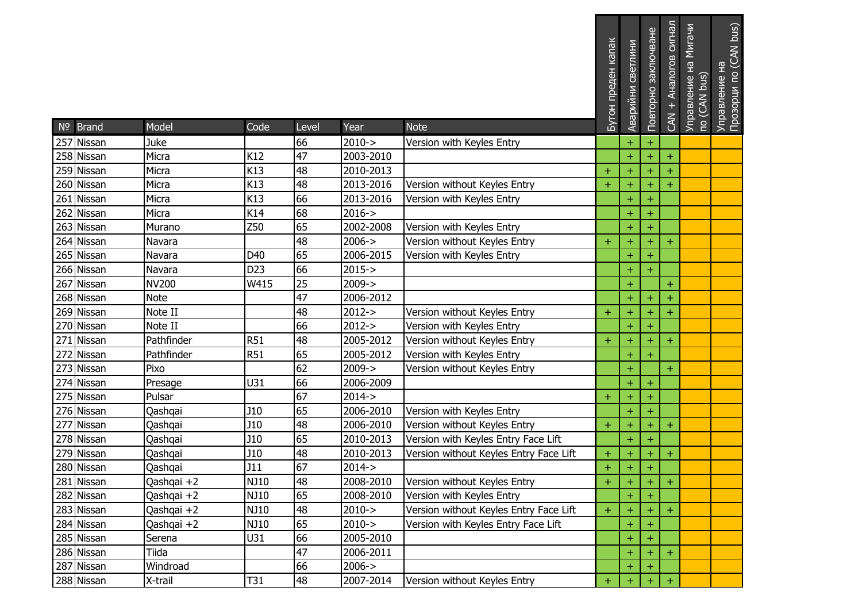|            |              |                 |       |            |                                          | Бутон преден капак | Аварийни светлини | Повторно заключване | CAN + Аналогов сигнал | Управление на Мигачи<br>по (CAN bus) | Управление на<br>Прозорци по (CAN bus) |
|------------|--------------|-----------------|-------|------------|------------------------------------------|--------------------|-------------------|---------------------|-----------------------|--------------------------------------|----------------------------------------|
|            |              |                 |       |            |                                          |                    |                   |                     |                       |                                      |                                        |
| Nº Brand   | Model        | Code            | Level | Year       | <b>Note</b>                              |                    |                   |                     |                       |                                      |                                        |
| 257 Nissan | Juke         |                 | 66    | $2010 - >$ | Version with Keyles Entry                |                    | $\pm$             | $\pm$               |                       |                                      |                                        |
| 258 Nissan | Micra        | K12             | 47    | 2003-2010  |                                          |                    | $\ddot{}$         |                     | $\pm$                 |                                      |                                        |
| 259 Nissan | Micra        | K13             | 48    | 2010-2013  |                                          | $\pm$              | $\pm$             | $\pm$               | ÷                     |                                      |                                        |
| 260 Nissan | Micra        | K13             | 48    | 2013-2016  | Version without Keyles Entry             | $\pm$              | $\ddot{}$         | $\boldsymbol{+}$    | $+$                   |                                      |                                        |
| 261 Nissan | Micra        | K13             | 66    | 2013-2016  | Version with Keyles Entry                |                    | $\ddot{}$         | $\ddot{}$           |                       |                                      |                                        |
| 262 Nissan | Micra        | K14             | 68    | $2016 - >$ |                                          |                    | $\pm$             | $\pm$               |                       |                                      |                                        |
| 263 Nissan | Murano       | Z50             | 65    | 2002-2008  | Version with Keyles Entry                |                    | $\ddot{}$         | $+$                 |                       |                                      |                                        |
| 264 Nissan | Navara       |                 | 48    | $2006 - >$ | Version without Keyles Entry             | $\pm$              | $\ddot{}$         | $\pm$               | $+$                   |                                      |                                        |
| 265 Nissan | Navara       | D40             | 65    | 2006-2015  | Version with Keyles Entry                |                    | $\ddot{}$         | $\pm$               |                       |                                      |                                        |
| 266 Nissan | Navara       | D <sub>23</sub> | 66    | $2015 - >$ |                                          |                    | $\ddot{}$         | $+$                 |                       |                                      |                                        |
| 267 Nissan | <b>NV200</b> | W415            | 25    | $2009 - >$ |                                          |                    | $\pm$             |                     | $+$                   |                                      |                                        |
| 268 Nissan | <b>Note</b>  |                 | 47    | 2006-2012  |                                          |                    | $\ddot{}$         |                     | $\ddot{}$             |                                      |                                        |
| 269 Nissan | Note II      |                 | 48    | $2012 - >$ | Version without Keyles Entry             | $\pm$              | $\ddot{}$         | $\pm$               | $+$                   |                                      |                                        |
| 270 Nissan | Note II      |                 | 66    | $2012 - >$ | Version with Keyles Entry                |                    | $\ddot{}$         | $+$                 |                       |                                      |                                        |
| 271 Nissan | Pathfinder   | <b>R51</b>      | 48    | 2005-2012  | Version without Keyles Entry             | $\pm$              | $\ddot{}$         | $\ddot{}$           | $+$                   |                                      |                                        |
| 272 Nissan | Pathfinder   | <b>R51</b>      | 65    | 2005-2012  | Version with Keyles Entry                |                    | $\pm$             | $\pm$               |                       |                                      |                                        |
| 273 Nissan | Pixo         |                 | 62    | $2009 - >$ | Version without Keyles Entry             |                    | $\ddot{}$         |                     | $+$                   |                                      |                                        |
| 274 Nissan | Presage      | U31             | 66    | 2006-2009  |                                          |                    | $\ddot{}$         | $\ddot{}$           |                       |                                      |                                        |
| 275 Nissan | Pulsar       |                 | 67    | $2014 - >$ |                                          | ÷                  | $\pm$             | $\pm$               |                       |                                      |                                        |
| 276 Nissan | Qashqai      | J10             | 65    | 2006-2010  | Version with Keyles Entry                |                    | $\ddot{}$         | $+$                 |                       |                                      |                                        |
| 277 Nissan | Qashqai      | J10             | 48    | 2006-2010  | Version without Keyles Entry             | $\pm$              | $\ddot{}$         | $\pm$               | $\pm$                 |                                      |                                        |
| 278 Nissan | Qashqai      | <b>J10</b>      | 65    | 2010-2013  | Version with Keyles Entry Face Lift      |                    | $\ddot{}$         | $\pm$               |                       |                                      |                                        |
| 279 Nissan | Qashqai      | J10             | 48    | 2010-2013  | Version without Keyles Entry Face Lift   | $\pm$              | $\pm$             | $\pm$               | $+$                   |                                      |                                        |
| 280 Nissan | Qashqai      | J11             | 67    | $2014 - >$ |                                          | $\ddot{}$          | $\pm$             | $\ddot{}$           |                       |                                      |                                        |
| 281 Nissan | Qashqai +2   | <b>NJ10</b>     | 48    |            | 2008-2010   Version without Keyles Entry | ÷,                 | $\pm$             | $\pm$               | +.                    |                                      |                                        |
| 282 Nissan | Qashqai +2   | <b>NJ10</b>     | 65    | 2008-2010  | Version with Keyles Entry                |                    | $\pm$             | ÷                   |                       |                                      |                                        |
| 283 Nissan | Qashqai +2   | NJ10            | 48    | $2010 - >$ | Version without Keyles Entry Face Lift   | $\pm$              | $\pm$             | $\pm$               | $+$                   |                                      |                                        |
| 284 Nissan | Qashqai +2   | <b>NJ10</b>     | 65    | $2010 - >$ | Version with Keyles Entry Face Lift      |                    | $\pm$             |                     |                       |                                      |                                        |
| 285 Nissan | Serena       | U31             | 66    | 2005-2010  |                                          |                    | $\pm$             | $\pm$               |                       |                                      |                                        |
| 286 Nissan | Tiida        |                 | 47    | 2006-2011  |                                          |                    | $\ddot{}$         | $\pm$               | $\pm$                 |                                      |                                        |
| 287 Nissan | Windroad     |                 | 66    | $2006 - >$ |                                          |                    | $\pm$             |                     |                       |                                      |                                        |
| 288 Nissan | X-trail      | T31             | 48    | 2007-2014  | Version without Keyles Entry             | ÷                  | $\pm$             |                     | $\pm$                 |                                      |                                        |

\_\_\_\_\_\_\_\_\_\_\_\_\_\_\_\_\_\_\_\_\_\_\_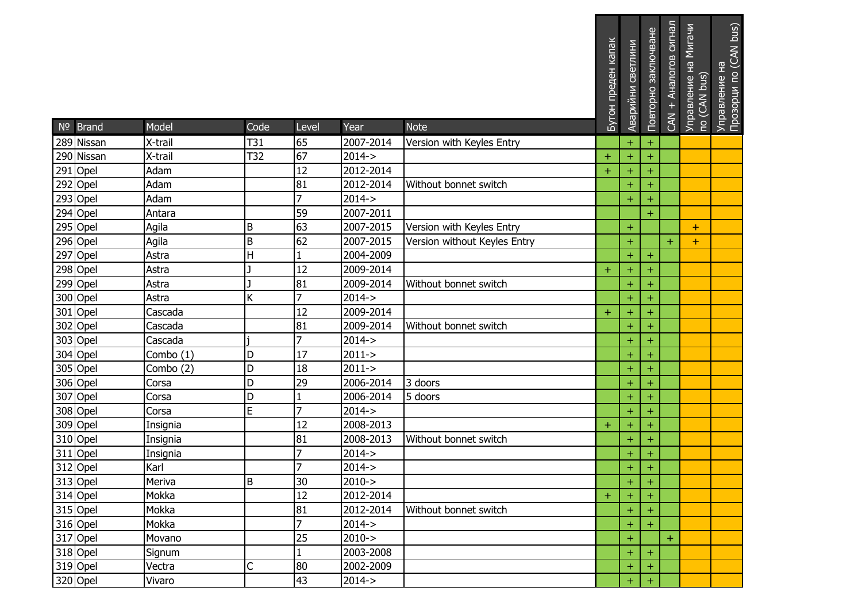| Nº Brand              | Model     | Code    | Level          | Year                | <b>Note</b>                  | Бутон преден капак | Аварийни светлини | Повторно заключване | CAN + Аналогов сигнал | Управление на Мигачи<br>по (CAN bus) | Управление на<br>Прозорци по (CAN bus) |
|-----------------------|-----------|---------|----------------|---------------------|------------------------------|--------------------|-------------------|---------------------|-----------------------|--------------------------------------|----------------------------------------|
| 289 Nissan            | X-trail   | T31     | 65             | 2007-2014           | Version with Keyles Entry    |                    | $\pm$             | $\pm$               |                       |                                      |                                        |
| 290 Nissan            | X-trail   | T32     | 67             | $2014 - >$          |                              | $\pm$              | $\ddot{}$         | $\pm$               |                       |                                      |                                        |
| 291 Opel              | Adam      |         | 12             | 2012-2014           |                              | $+$                | $\pm$             | $\pm$               |                       |                                      |                                        |
| 292 Opel              | Adam      |         | 81             | 2012-2014           | Without bonnet switch        |                    | $\ddot{}$         | $+$                 |                       |                                      |                                        |
| 293 Opel              | Adam      |         | $\overline{7}$ | $2014 - >$          |                              |                    | $\ddot{}$         | $+$                 |                       |                                      |                                        |
| 294 Opel              | Antara    |         | 59             | 2007-2011           |                              |                    |                   | $\pm$               |                       |                                      |                                        |
| 295 Opel              | Agila     | B       | 63             | 2007-2015           | Version with Keyles Entry    |                    | $\pm$             |                     |                       | $+$                                  |                                        |
| 296 Opel              | Agila     | B       | 62             | 2007-2015           | Version without Keyles Entry |                    | $\ddot{}$         |                     | $+$                   | $+$                                  |                                        |
| 297 Opel              | Astra     | Н       |                | 2004-2009           |                              |                    | $\ddot{}$         | $\pm$               |                       |                                      |                                        |
| 298 Opel              | Astra     |         | 12             | 2009-2014           |                              | $\pm$              | $\ddot{}$         | $\pm$               |                       |                                      |                                        |
| 299 Opel              | Astra     |         | 81             | 2009-2014           | Without bonnet switch        |                    | $\ddot{}$         | $\boldsymbol{+}$    |                       |                                      |                                        |
| 300 Opel              | Astra     | K       | 7              | $2014 - >$          |                              |                    | $\ddot{}$         | $\pm$               |                       |                                      |                                        |
| 301 Opel              | Cascada   |         | 12             | 2009-2014           |                              | $+$                | $\pm$             | $\pm$               |                       |                                      |                                        |
| 302 Opel              | Cascada   |         | 81             | 2009-2014           | Without bonnet switch        |                    | $\ddot{}$         | $+$                 |                       |                                      |                                        |
| 303 Opel              | Cascada   |         | 7              | $2014 - >$          |                              |                    | $\ddot{}$         |                     |                       |                                      |                                        |
| 304 Opel              | Combo (1) | D       | 17             | $2011 - >$          |                              |                    | $\pm$             | $\pm$               |                       |                                      |                                        |
| 305 Opel              | Combo (2) | D       | 18             | $2011 - >$          |                              |                    | $\ddot{}$         | $+$                 |                       |                                      |                                        |
| 306 Opel              | Corsa     | D       | 29             | 2006-2014           | 3 doors                      |                    | $\ddot{}$         | $\ddot{}$           |                       |                                      |                                        |
| 307 Opel              | Corsa     | D       |                | 2006-2014           | 5 doors                      |                    | $\ddot{}$         | $\pm$               |                       |                                      |                                        |
| 308 Opel              | Corsa     | E       | 7              | $2014 - >$          |                              |                    | $\ddot{}$         | $\pm$               |                       |                                      |                                        |
| 309 Opel              | Insignia  |         | 12             | 2008-2013           |                              | $\pm$              | $\ddot{}$         | $\boldsymbol{+}$    |                       |                                      |                                        |
| 310 Opel              | Insignia  |         | 81             | 2008-2013           | Without bonnet switch        |                    | $\pm$             |                     |                       |                                      |                                        |
| 311 Opel              | Insignia  |         | 7              | $2014 - >$          |                              |                    | $\ddot{}$         | $\pm$               |                       |                                      |                                        |
| $312$ Opel            | Karl      |         | 7              | $2014 - >$          |                              |                    | $\ddot{}$         | $\pm$               |                       |                                      |                                        |
| 313 Opel              | Meriva    | $\sf B$ | 30             | $\overline{2010}$ > |                              |                    | $\pm$             | $\pm$               |                       |                                      |                                        |
| 314 Opel              | Mokka     |         | 12             | 2012-2014           |                              | $+$                | $\pm$             | ÷                   |                       |                                      |                                        |
| 315 Opel              | Mokka     |         | 81             | 2012-2014           | Without bonnet switch        |                    | $\ddot{}$         | $\pm$               |                       |                                      |                                        |
| 316 Opel              | Mokka     |         | 7              | $2014 - >$          |                              |                    | $\ddot{}$         | $+$                 |                       |                                      |                                        |
| $\overline{317}$ Opel | Movano    |         | 25             | $2010 - >$          |                              |                    | $\pm$             |                     | $\pm$                 |                                      |                                        |
| 318 Opel              | Signum    |         |                | 2003-2008           |                              |                    | $\pm$             | ÷                   |                       |                                      |                                        |
| 319 Opel              | Vectra    | C       | 80             | 2002-2009           |                              |                    | $\ddot{}$         | $\pm$               |                       |                                      |                                        |
| 320 Opel              | Vivaro    |         | 43             | $2014 - >$          |                              |                    | $\pm$             |                     |                       |                                      |                                        |

\_\_\_\_\_\_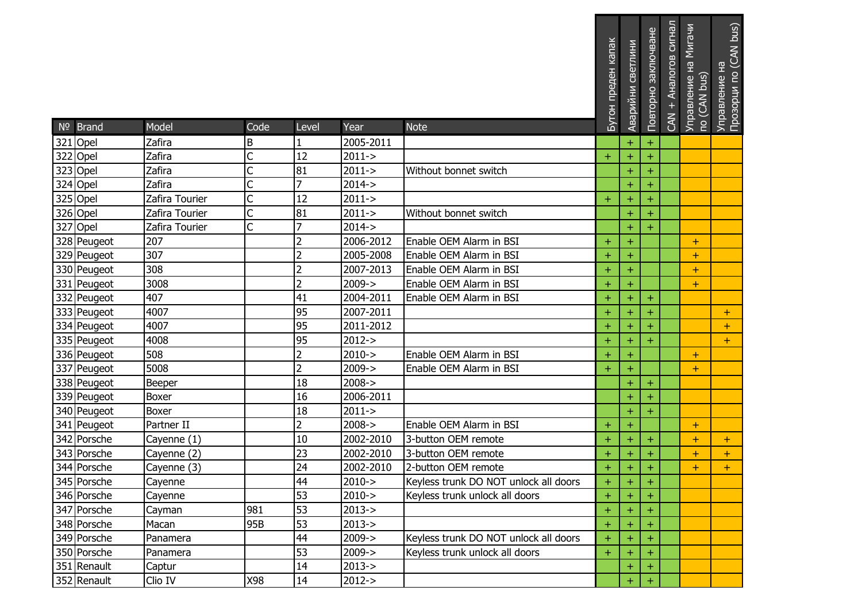| Nº Brand    | Model          | Code | Level          | Year       | <b>Note</b>                           | Бутон преден капак | Аварийни светлини | Повторно заключване | сигнал<br>Аналогов<br>CAN + | Мигачи<br>Управление на l<br>по (CAN bus) | Управление на<br>Прозорци по (CAN bus) |
|-------------|----------------|------|----------------|------------|---------------------------------------|--------------------|-------------------|---------------------|-----------------------------|-------------------------------------------|----------------------------------------|
| 321 Opel    | Zafira         | B    |                | 2005-2011  |                                       |                    | $\ddot{}$         | $\boldsymbol{+}$    |                             |                                           |                                        |
| 322 Opel    | Zafira         | Ċ    | 12             | $2011 - >$ |                                       | $\ddot{}$          | $\ddot{}$         | $\pm$               |                             |                                           |                                        |
| 323 Opel    | Zafira         | Ċ    | 81             | $2011 - >$ | Without bonnet switch                 |                    | $\ddot{}$         | $\pm$               |                             |                                           |                                        |
| 324 Opel    | Zafira         |      | 7              | $2014 - >$ |                                       |                    | $\pm$             | $\pm$               |                             |                                           |                                        |
| 325 Opel    | Zafira Tourier |      | 12             | $2011 - >$ |                                       | $\pm$              | $\ddot{}$         | $\ddot{}$           |                             |                                           |                                        |
| 326 Opel    | Zafira Tourier | C    | 81             | $2011 - >$ | Without bonnet switch                 |                    | $\ddot{}$         | $\ddot{}$           |                             |                                           |                                        |
| 327 Opel    | Zafira Tourier | Ċ    | 7              | $2014 - >$ |                                       |                    | $\pm$             | $\pm$               |                             |                                           |                                        |
| 328 Peugeot | 207            |      | $\overline{2}$ | 2006-2012  | Enable OEM Alarm in BSI               | $\pm$              | $\ddot{}$         |                     |                             | $\pm$                                     |                                        |
| 329 Peugeot | 307            |      | $\overline{2}$ | 2005-2008  | Enable OEM Alarm in BSI               | $\pm$              | $\ddot{}$         |                     |                             | $+$                                       |                                        |
| 330 Peugeot | 308            |      | $\overline{c}$ | 2007-2013  | Enable OEM Alarm in BSI               | $\pm$              | $\ddot{}$         |                     |                             | $+$                                       |                                        |
| 331 Peugeot | 3008           |      | $\overline{2}$ | $2009 - >$ | Enable OEM Alarm in BSI               | $\ddot{}$          | $\pm$             |                     |                             | $\ddot{}$                                 |                                        |
| 332 Peugeot | 407            |      | 41             | 2004-2011  | Enable OEM Alarm in BSI               | $\pm$              | $\ddot{}$         | $\pm$               |                             |                                           |                                        |
| 333 Peugeot | 4007           |      | 95             | 2007-2011  |                                       | $\pm$              | $\ddot{}$         | $\pm$               |                             |                                           | $+$                                    |
| 334 Peugeot | 4007           |      | 95             | 2011-2012  |                                       | $\pm$              | $\ddot{}$         | $\pm$               |                             |                                           | $+$                                    |
| 335 Peugeot | 4008           |      | 95             | $2012 - >$ |                                       | $\ddot{}$          | $\ddot{}$         | $\ddot{}$           |                             |                                           | $+$                                    |
| 336 Peugeot | 508            |      | $\overline{2}$ | $2010 - >$ | Enable OEM Alarm in BSI               | $\ddot{}$          | $\ddot{}$         |                     |                             | $\ddot{}$                                 |                                        |
| 337 Peugeot | 5008           |      | $\overline{2}$ | $2009 - >$ | Enable OEM Alarm in BSI               | $\pm$              | $\pm$             |                     |                             | $\pm$                                     |                                        |
| 338 Peugeot | Beeper         |      | 18             | $2008 - >$ |                                       |                    | $\ddot{}$         | $\pm$               |                             |                                           |                                        |
| 339 Peugeot | Boxer          |      | 16             | 2006-2011  |                                       |                    | $\ddot{}$         | $\pm$               |                             |                                           |                                        |
| 340 Peugeot | <b>Boxer</b>   |      | 18             | $2011 - >$ |                                       |                    | $\ddot{}$         | ÷                   |                             |                                           |                                        |
| 341 Peugeot | Partner II     |      | $\overline{2}$ | $2008 - >$ | Enable OEM Alarm in BSI               | $\pm$              | $\pm$             |                     |                             | $\pm$                                     |                                        |
| 342 Porsche | Cayenne (1)    |      | 10             | 2002-2010  | 3-button OEM remote                   | $\pm$              | $\ddot{}$         | $\pm$               |                             | $\ddot{}$                                 | $\pm$                                  |
| 343 Porsche | Cayenne (2)    |      | 23             | 2002-2010  | 3-button OEM remote                   | $\pm$              | $\ddot{}$         | $\pm$               |                             | $+$                                       | $+$                                    |
| 344 Porsche | Cayenne (3)    |      | 24             | 2002-2010  | 2-button OEM remote                   | $+$                | $\ddot{}$         | $\pm$               |                             | $+$                                       | $+$                                    |
| 345 Porsche | Cayenne        |      | 44             | $2010 - >$ | Keyless trunk DO NOT unlock all doors | $+$                | $\pm$             | $\pm$               |                             |                                           |                                        |
| 346 Porsche | Cayenne        |      | 53             | $2010 - >$ | Keyless trunk unlock all doors        | $\ddot{}$          | $\ddot{}$         |                     |                             |                                           |                                        |
| 347 Porsche | Cayman         | 981  | 53             | $2013 - >$ |                                       | ÷                  | $\pm$             | ÷                   |                             |                                           |                                        |
| 348 Porsche | Macan          | 95B  | 53             | $2013 - >$ |                                       | $+$                | $\ddot{}$         |                     |                             |                                           |                                        |
| 349 Porsche | Panamera       |      | 44             | $2009 - >$ | Keyless trunk DO NOT unlock all doors | $\pm$              | $\ddot{}$         |                     |                             |                                           |                                        |
| 350 Porsche | Panamera       |      | 53             | $2009 - >$ | Keyless trunk unlock all doors        | $+$                | $\pm$             | ÷                   |                             |                                           |                                        |
| 351 Renault | Captur         |      | 14             | $2013 - >$ |                                       |                    | $\pm$             |                     |                             |                                           |                                        |
| 352 Renault | Clio IV        | X98  | 14             | $2012 - >$ |                                       |                    | $\ddot{}$         |                     |                             |                                           |                                        |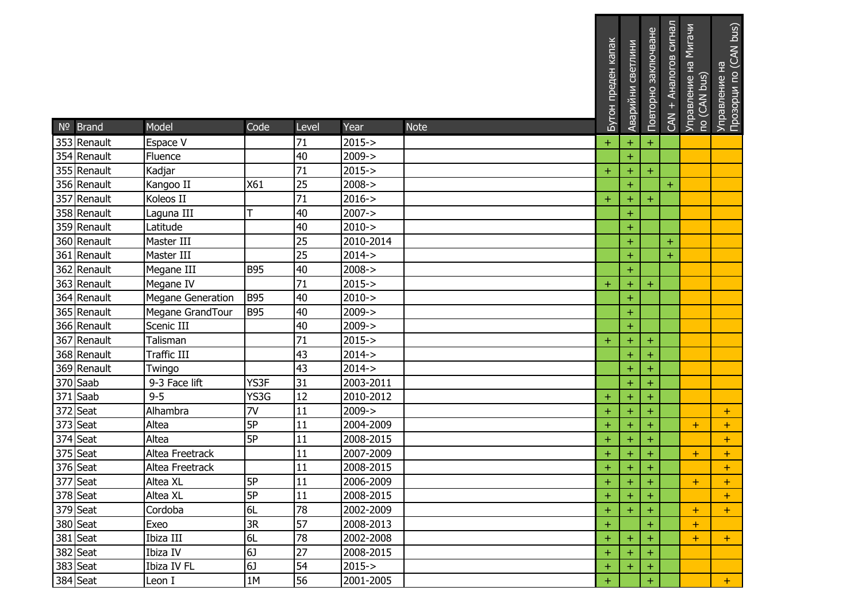| Nº Brand              | Model                    | Code       | Level | Year       | <b>Note</b> | Бутон преден капак | Аварийни светлини | Повторно заключване | CAN + Аналогов сигнал | Управление на Мигачи<br>по (CAN bus) | Управление на<br>Прозорци по (CAN bus) |
|-----------------------|--------------------------|------------|-------|------------|-------------|--------------------|-------------------|---------------------|-----------------------|--------------------------------------|----------------------------------------|
| 353 Renault           | Espace V                 |            | 71    | $2015 - >$ |             | $\ddot{}$          | $\pm$             | $\pm$               |                       |                                      |                                        |
| 354 Renault           | Fluence                  |            | 40    | $2009 - >$ |             |                    | $+$               |                     |                       |                                      |                                        |
| 355 Renault           | Kadjar                   |            | 71    | $2015 - >$ |             | $+$                | $+$               | $+$                 |                       |                                      |                                        |
| 356 Renault           | Kangoo II                | X61        | 25    | $2008 - >$ |             |                    | $\ddot{}$         |                     | $\ddot{}$             |                                      |                                        |
| 357 Renault           | Koleos II                |            | 71    | $2016 - >$ |             | $\pm$              | $\pm$             | $\ddot{}$           |                       |                                      |                                        |
| 358 Renault           | Laguna III               | т          | 40    | $2007 - >$ |             |                    | $\pm$             |                     |                       |                                      |                                        |
| 359 Renault           | Latitude                 |            | 40    | $2010 - >$ |             |                    | $\ddot{}$         |                     |                       |                                      |                                        |
| 360 Renault           | Master III               |            | 25    | 2010-2014  |             |                    | $\pm$             |                     | $\pm$                 |                                      |                                        |
| 361 Renault           | Master III               |            | 25    | $2014 - >$ |             |                    | $\ddot{}$         |                     | $\pm$                 |                                      |                                        |
| 362 Renault           | Megane III               | <b>B95</b> | 40    | $2008 - >$ |             |                    | $\pm$             |                     |                       |                                      |                                        |
| 363 Renault           | Megane IV                |            | 71    | $2015 - >$ |             | $\pm$              | $\pm$             | $\ddot{}$           |                       |                                      |                                        |
| 364 Renault           | <b>Megane Generation</b> | <b>B95</b> | 40    | $2010 - >$ |             |                    | $+$               |                     |                       |                                      |                                        |
| 365 Renault           | Megane GrandTour         | <b>B95</b> | 40    | $2009 - >$ |             |                    | $\pm$             |                     |                       |                                      |                                        |
| 366 Renault           | Scenic III               |            | 40    | $2009 - >$ |             |                    | $+$               |                     |                       |                                      |                                        |
| 367 Renault           | Talisman                 |            | 71    | $2015 - >$ |             | $\color{red}{+}$   | $\ddot{}$         | $+$                 |                       |                                      |                                        |
| 368 Renault           | Traffic III              |            | 43    | $2014 - >$ |             |                    | $\pm$             | $\pm$               |                       |                                      |                                        |
| 369 Renault           | Twingo                   |            | 43    | $2014 - >$ |             |                    | $\ddot{}$         | $+$                 |                       |                                      |                                        |
| 370 Saab              | 9-3 Face lift            | YS3F       | 31    | 2003-2011  |             |                    | $\ddot{}$         | $+$                 |                       |                                      |                                        |
| $371$ Saab            | $9 - 5$                  | YS3G       | 12    | 2010-2012  |             | $\pm$              | $\pm$             | $+$                 |                       |                                      |                                        |
| 372 Seat              | Alhambra                 | 7V         | 11    | $2009 - >$ |             | $\pm$              | $\pm$             | $+$                 |                       |                                      | $+$                                    |
| $373$ Seat            | Altea                    | 5P         | 11    | 2004-2009  |             | Ŧ                  | $\ddot{}$         | $\pm$               |                       | $\pm$                                | $+$                                    |
| 374 Seat              | Altea                    | 5P         | 11    | 2008-2015  |             | Ŧ                  | $\pm$             |                     |                       |                                      | $+$                                    |
| 375 Seat              | Altea Freetrack          |            | 11    | 2007-2009  |             | $\pm$              | $\ddot{}$         | ÷                   |                       | $\pm$                                | $+$                                    |
| $\overline{376}$ Seat | Altea Freetrack          |            | 11    | 2008-2015  |             | Ŧ                  | $\ddot{}$         | $\ddot{}$           |                       |                                      | $+$                                    |
| 377 Seat              | Altea XL                 | 5P         | 11    | 2006-2009  |             | $+$                | $+$               | ∣ +                 |                       | +                                    | ÷                                      |
| 378 Seat              | Altea XL                 | 5P         | 11    | 2008-2015  |             | $\pm$              | $+$               | $+$                 |                       |                                      | $+$                                    |
| 379 Seat              | Cordoba                  | 6L         | 78    | 2002-2009  |             | $\ddot{}$          | $\pm$             | $+$                 |                       | $\pm$                                | $+$                                    |
| 380 Seat              | Exeo                     | 3R         | 57    | 2008-2013  |             | $+$                |                   | $+$                 |                       | $+$                                  |                                        |
| $381$ Seat            | Ibiza III                | 6L         | 78    | 2002-2008  |             | $+$                | $\pm$             |                     |                       | ÷.                                   | $+$                                    |
| 382 Seat              | Ibiza IV                 | 6J         | 27    | 2008-2015  |             | $+$                | $+$               |                     |                       |                                      |                                        |
| 383 Seat              | Ibiza IV FL              | 6J         | 54    | $2015 - >$ |             | $\pm$              | $+$               | $+$                 |                       |                                      |                                        |
| 384 Seat              | Leon I                   | 1M         | 56    | 2001-2005  |             | $\ddot{}$          |                   | $+$                 |                       |                                      | $+$                                    |

<u> Tantan dan berkembang dan biasa di sebagai dan biasa di sebagai dan biasa di sebagai dan biasa di sebagai dan</u>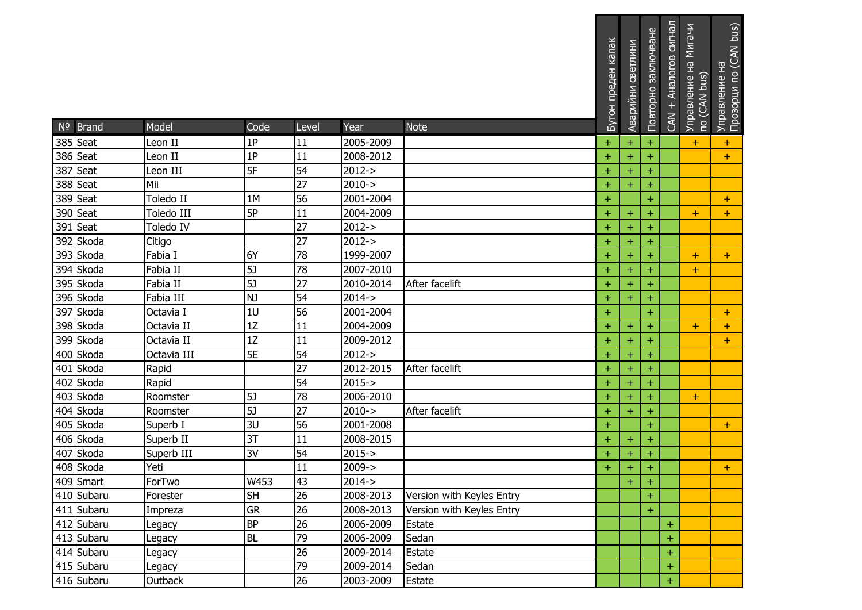|                      |                    |           |                 |                          |                           | Бутон преден капак | СВЕТЛИНИ<br>Аварийни | Повторно заключване | CAN + Аналогов сигнал | Управление на Мигачи<br>по (CAN bus) | Прозорци по (CAN bus)<br>Управление на |
|----------------------|--------------------|-----------|-----------------|--------------------------|---------------------------|--------------------|----------------------|---------------------|-----------------------|--------------------------------------|----------------------------------------|
| $No$ Brand           | Model              | Code      | Level           | Year                     | <b>Note</b>               |                    |                      |                     |                       |                                      |                                        |
| 385 Seat<br>386 Seat | Leon II<br>Leon II | 1P<br>1P  | 11<br>11        | 2005-2009<br>2008-2012   |                           | $\pm$              | $\pm$                | $\pm$               |                       | $\pm$                                | $\pm$                                  |
| 387 Seat             |                    | 5F        | 54              |                          |                           | $\pm$              | $\pm$                | ÷                   |                       |                                      | $+$                                    |
| 388 Seat             | Leon III<br>Mii    |           | 27              | $2012 - >$<br>$2010 - >$ |                           | $\pm$              | $\pm$                | ÷                   |                       |                                      |                                        |
| 389 Seat             | Toledo II          | 1M        | 56              | 2001-2004                |                           | Ŧ<br>$\ddot{}$     | $+$                  | Ŧ                   |                       |                                      |                                        |
| 390 Seat             | Toledo III         | 5P        | 11              | 2004-2009                |                           |                    |                      | $+$                 |                       |                                      | $+$                                    |
| 391 Seat             | Toledo IV          |           | 27              | $2012 - >$               |                           | $\pm$<br>$\ddot{}$ | $\pm$<br>$\pm$       | $\pm$<br>÷          |                       | ÷                                    | $+$                                    |
| 392 Skoda            | Citigo             |           | 27              | $2012 - >$               |                           | $\pm$              | $\pm$                | $\pm$               |                       |                                      |                                        |
| 393 Skoda            | Fabia I            | 6Y        | 78              | 1999-2007                |                           | $\pm$              | $\pm$                |                     |                       | ÷                                    | $+$                                    |
| 394 Skoda            | Fabia II           | 5         | 78              | 2007-2010                |                           | $\pm$              | $\pm$                | $\pm$               |                       | $\pm$                                |                                        |
| 395 Skoda            | Fabia II           | 5J        | 27              | 2010-2014                | After facelift            | $\pm$              | $\ddot{}$            | $\pm$               |                       |                                      |                                        |
| 396 Skoda            | Fabia III          | NJ        | 54              | $2014 - >$               |                           | $\ddot{}$          | $\pm$                | ÷                   |                       |                                      |                                        |
| 397 Skoda            | Octavia I          | 1U        | 56              | 2001-2004                |                           | $\pm$              |                      | $\pm$               |                       |                                      | $+$                                    |
| 398 Skoda            | Octavia II         | 1Z        | 11              | 2004-2009                |                           | Ŧ                  | $\pm$                | ÷                   |                       | $\pm$                                | $\pm$                                  |
| 399 Skoda            | Octavia II         | 1Z        | 11              | 2009-2012                |                           | $\ddot{}$          | $\ddot{}$            |                     |                       |                                      | $+$                                    |
| 400 Skoda            | Octavia III        | 5E        | 54              | $2012 - >$               |                           | $\pm$              | $\pm$                | ÷                   |                       |                                      |                                        |
| 401 Skoda            | Rapid              |           | 27              | 2012-2015                | After facelift            | Ŧ                  | $\pm$                | $\pm$               |                       |                                      |                                        |
| 402 Skoda            | Rapid              |           | 54              | $2015 - >$               |                           | $\pm$              | $\ddot{}$            | $+$                 |                       |                                      |                                        |
| 403 Skoda            | Roomster           | 5J        | $\overline{78}$ | 2006-2010                |                           | $\pm$              | $\pm$                |                     |                       | ÷.                                   |                                        |
| 404 Skoda            | Roomster           | 5J        | 27              | $2010 - >$               | After facelift            | $\pm$              | $\pm$                | $\pm$               |                       |                                      |                                        |
| 405 Skoda            | Superb I           | 3U        | 56              | 2001-2008                |                           | $\ddot{}$          |                      | $\pm$               |                       |                                      | $\pm$                                  |
| 406 Skoda            | Superb II          | 3T        | 11              | 2008-2015                |                           | Ŧ                  | $\pm$                | ÷                   |                       |                                      |                                        |
| 407 Skoda            | Superb III         | 3V        | 54              | $2015 - >$               |                           | $\pm$              | $\ddot{}$            | ÷                   |                       |                                      |                                        |
| 408 Skoda            | Yeti               |           | 11              | $2009 - >$               |                           | Ŧ                  | $\pm$                | $\ddot{}$           |                       |                                      | $+$                                    |
| 409 Smart            | ForTwo             | W453      | 43              | $2014 - >$               |                           |                    | $+$                  | $\pm$               |                       |                                      |                                        |
| 410 Subaru           | Forester           | <b>SH</b> | 26              | 2008-2013                | Version with Keyles Entry |                    |                      | $\pm$               |                       |                                      |                                        |
| 411 Subaru           | Impreza            | <b>GR</b> | 26              | 2008-2013                | Version with Keyles Entry |                    |                      | $+$                 |                       |                                      |                                        |
| 412 Subaru           | Legacy             | <b>BP</b> | 26              | 2006-2009                | Estate                    |                    |                      |                     | $\pm$                 |                                      |                                        |
| 413 Subaru           | Legacy             | <b>BL</b> | $\overline{79}$ | 2006-2009                | Sedan                     |                    |                      |                     | $\pm$                 |                                      |                                        |
| 414 Subaru           | Legacy             |           | 26              | 2009-2014                | Estate                    |                    |                      |                     | $\pm$                 |                                      |                                        |
| 415 Subaru           | Legacy             |           | 79              | 2009-2014                | Sedan                     |                    |                      |                     | $\pm$                 |                                      |                                        |
| 416 Subaru           | Outback            |           | 26              | 2003-2009                | Estate                    |                    |                      |                     | $\pm$                 |                                      |                                        |

<u> El proponente de la contenenta de la contenenta de la contenenta de la contenenta de la contenenta de la conte</u>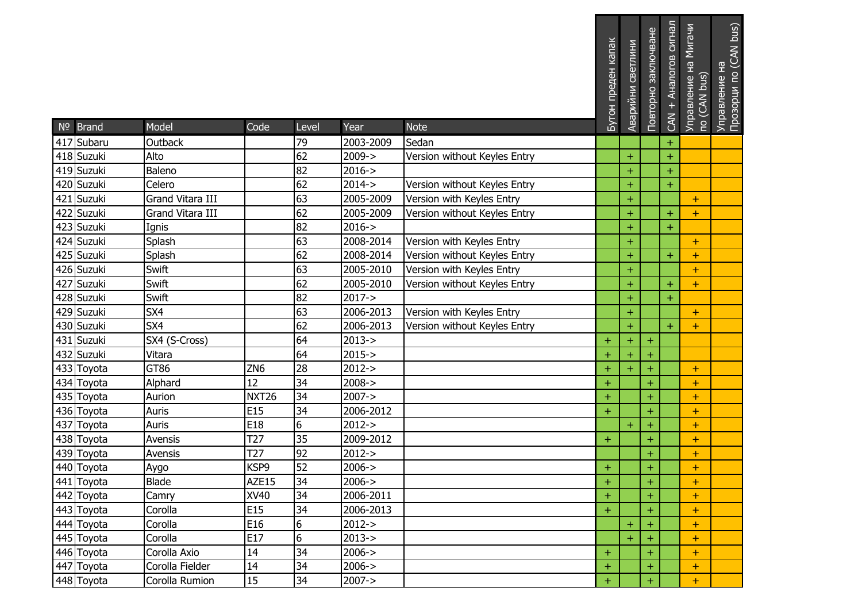|                          |                  |                   |                 |                         |                                                           | Бутон преден капак | Аварийни светлини | Повторно заключване | Аналогов сигнал<br>$CAN +$ | Управление на Мигачи<br>по (CAN bus) | Управление на<br>Прозорци по (CAN bus) |
|--------------------------|------------------|-------------------|-----------------|-------------------------|-----------------------------------------------------------|--------------------|-------------------|---------------------|----------------------------|--------------------------------------|----------------------------------------|
| Nº Brand                 | Model            | Code              | Level           | Year                    | <b>Note</b>                                               |                    |                   |                     |                            |                                      |                                        |
| 417 Subaru               | Outback          |                   | 79<br>62        | 2003-2009               | Sedan                                                     |                    |                   |                     | $\ddot{}$                  |                                      |                                        |
| 418 Suzuki               | Alto             |                   | 82              | $2009 - >$              | Version without Keyles Entry                              |                    | $\pm$             |                     | $\ddot{}$                  |                                      |                                        |
| 419 Suzuki               | Baleno           |                   | 62              | $2016 - >$<br>2014->    |                                                           |                    | $+$               |                     | $\ddot{}$                  |                                      |                                        |
| 420 Suzuki               | Celero           |                   |                 |                         | Version without Keyles Entry                              |                    | $\ddot{}$         |                     | $\ddot{}$                  |                                      |                                        |
| 421 Suzuki               | Grand Vitara III |                   | 63<br>62        | 2005-2009               | Version with Keyles Entry                                 |                    | $\ddot{}$         |                     |                            | $+$                                  |                                        |
| 422 Suzuki               | Grand Vitara III |                   |                 | 2005-2009<br>$2016 - >$ | Version without Keyles Entry                              |                    | $\pm$             |                     | $\pm$                      | $+$                                  |                                        |
| 423 Suzuki               | Ignis<br>Splash  |                   | 82<br>63        |                         | Version with Keyles Entry                                 |                    | $\ddot{}$         |                     | $\ddot{}$                  |                                      |                                        |
| 424 Suzuki<br>425 Suzuki |                  |                   | 62              | 2008-2014               |                                                           |                    | $\ddot{}$         |                     |                            | $+$                                  |                                        |
| 426 Suzuki               | Splash<br>Swift  |                   | 63              | 2008-2014<br>2005-2010  | Version without Keyles Entry<br>Version with Keyles Entry |                    | $\pm$             |                     | $\ddot{}$                  | $\pm$                                |                                        |
| 427 Suzuki               | Swift            |                   | 62              | 2005-2010               |                                                           |                    | $\ddot{}$         |                     |                            | $+$                                  |                                        |
| 428 Suzuki               | Swift            |                   | 82              | $2017 - >$              | Version without Keyles Entry                              |                    | $+$<br>$\ddot{}$  |                     | $+$<br>$\pm$               | $+$                                  |                                        |
| 429 Suzuki               | SX4              |                   | 63              | 2006-2013               | Version with Keyles Entry                                 |                    | $\pm$             |                     |                            | $\pm$                                |                                        |
| 430 Suzuki               | SX4              |                   | 62              | 2006-2013               | Version without Keyles Entry                              |                    | $\pm$             |                     | $\ddot{}$                  | $\pm$                                |                                        |
| 431 Suzuki               | SX4 (S-Cross)    |                   | 64              | $2013 - >$              |                                                           | $\pm$              | $\pm$             | $\pm$               |                            |                                      |                                        |
| 432 Suzuki               | Vitara           |                   | 64              | $2015 - >$              |                                                           | $\pm$              | $\pm$             | $\pm$               |                            |                                      |                                        |
| 433 Toyota               | GT86             | ZN <sub>6</sub>   | 28              | $2012 - >$              |                                                           | $\ddot{}$          | $\ddot{}$         | Ŧ                   |                            | $+$                                  |                                        |
| 434 Toyota               | Alphard          | 12                | 34              | $2008 - >$              |                                                           | $\ddot{}$          |                   | $+$                 |                            | $+$                                  |                                        |
| 435 Toyota               | Aurion           | NXT <sub>26</sub> | 34              | $2007 - >$              |                                                           | $\ddot{}$          |                   | $\ddot{}$           |                            | $\ddot{}$                            |                                        |
| 436 Toyota               | Auris            | E <sub>15</sub>   | 34              | 2006-2012               |                                                           | $+$                |                   | $+$                 |                            | $\ddot{}$                            |                                        |
| 437 Toyota               | Auris            | E18               | $6\overline{6}$ | $2012 - >$              |                                                           |                    | $+$               | $\pm$               |                            | $+$                                  |                                        |
| 438 Toyota               | Avensis          | T <sub>27</sub>   | 35              | 2009-2012               |                                                           | $\pm$              |                   | ÷                   |                            | $\pm$                                |                                        |
| 439 Toyota               | Avensis          | T <sub>27</sub>   | 92              | $2012 - >$              |                                                           |                    |                   | $\pm$               |                            | $\ddot{}$                            |                                        |
| 440 Toyota               | Aygo             | KSP9              | 52              | $2006 - >$              |                                                           | $\ddot{}$          |                   | Ŧ                   |                            | $\ddot{}$                            |                                        |
| 441 Toyota               | Blade            | AZE15             | 34              | $2006 - >$              |                                                           | $\pm$              |                   | $\pm$               |                            | $\pm$                                |                                        |
| 442 Toyota               | Camry            | XV40              | 34              | 2006-2011               |                                                           | $\pm$              |                   | ÷                   |                            | $\pm$                                |                                        |
| 443 Toyota               | Corolla          | E15               | 34              | 2006-2013               |                                                           | $+$                |                   | $+$                 |                            | $\pm$                                |                                        |
| 444 Toyota               | Corolla          | E16               | 6               | $2012 - >$              |                                                           |                    | $\pm$             |                     |                            | $\ddot{}$                            |                                        |
| 445 Toyota               | Corolla          | E17               | $6\overline{6}$ | $2013 - >$              |                                                           |                    | $\pm$             | $\pm$               |                            | $\pm$                                |                                        |
| 446 Toyota               | Corolla Axio     | 14                | 34              | $2006 - >$              |                                                           | $\pm$              |                   | $\pm$               |                            | $\pm$                                |                                        |
| 447 Toyota               | Corolla Fielder  | 14                | 34              | $2006 - >$              |                                                           | $\pm$              |                   | $\pm$               |                            | $\pm$                                |                                        |
| 448 Toyota               | Corolla Rumion   | 15                | 34              | $2007 - >$              |                                                           | ÷                  |                   | ÷                   |                            | $\pm$                                |                                        |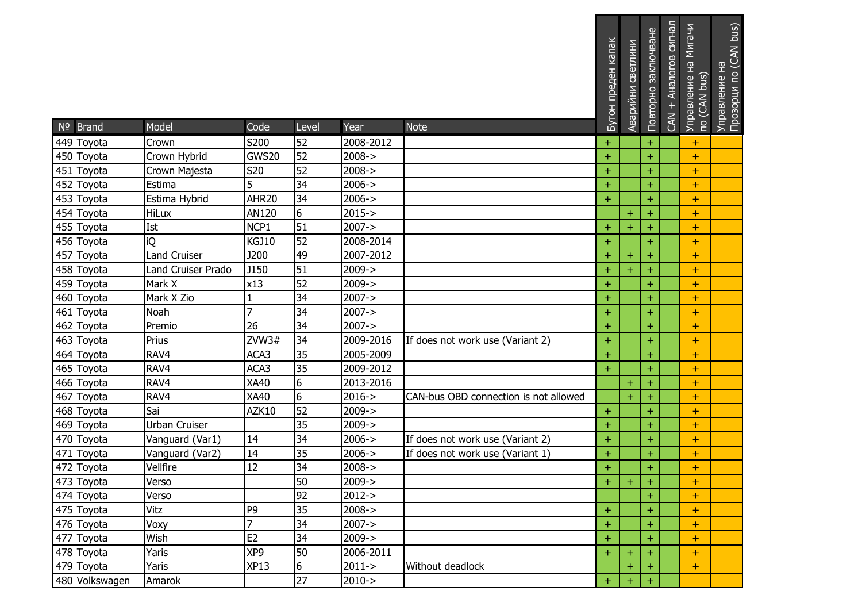| Nº Brand       | Model                     | Code              | Level           | Year       | <b>Note</b>                           | Бутон преден капак | Аварийни светлини | Повторно заключване | CAN + Аналогов сигнал | Управление на Мигачи<br>по (CAN bus) | Управление на<br>Прозорци по (CAN bus) |
|----------------|---------------------------|-------------------|-----------------|------------|---------------------------------------|--------------------|-------------------|---------------------|-----------------------|--------------------------------------|----------------------------------------|
| 449 Toyota     | Crown                     | S200              | 52              | 2008-2012  |                                       | $\ddot{}$          |                   | $\pm$               |                       | $\pm$                                |                                        |
| 450 Toyota     | Crown Hybrid              | GWS20             | 52              | $2008 - >$ |                                       | $+$                |                   | $+$                 |                       | $+$                                  |                                        |
| 451 Toyota     | Crown Majesta             | S20               | 52              | $2008 - >$ |                                       | $\pm$              |                   | $\pm$               |                       | $\pm$                                |                                        |
| 452 Toyota     | Estima                    | 5                 | 34              | $2006 - >$ |                                       | $\ddot{}$          |                   | $\ddot{}$           |                       | $\pm$                                |                                        |
| 453 Toyota     | Estima Hybrid             | AHR <sub>20</sub> | 34              | $2006 - >$ |                                       | $+$                |                   | $+$                 |                       | $\ddot{}$                            |                                        |
| 454 Toyota     | <b>HiLux</b>              | AN120             | 6               | $2015 - >$ |                                       |                    | $\pm$             | +                   |                       | $\ddot{}$                            |                                        |
| 455 Toyota     | Ist                       | NCP1              | 51              | $2007 - >$ |                                       | $\pm$              | $\ddot{}$         |                     |                       | $\pm$                                |                                        |
| 456 Toyota     | iQ                        | <b>KGJ10</b>      | 52              | 2008-2014  |                                       | $+$                |                   | $\pm$               |                       | $\pm$                                |                                        |
| 457 Toyota     | <b>Land Cruiser</b>       | <b>J200</b>       | 49              | 2007-2012  |                                       | $\pm$              | $\pm$             |                     |                       | $\pm$                                |                                        |
| 458 Toyota     | <b>Land Cruiser Prado</b> | J150              | 51              | $2009 - >$ |                                       | $+$                | $\ddot{}$         |                     |                       | $\pm$                                |                                        |
| 459 Toyota     | Mark X                    | x13               | 52              | $2009 - >$ |                                       | $\ddot{}$          |                   | $\pm$               |                       | $\pm$                                |                                        |
| 460 Toyota     | Mark X Zio                |                   | 34              | $2007 - >$ |                                       | $\ddot{}$          |                   | $\pm$               |                       | $+$                                  |                                        |
| 461 Toyota     | Noah                      | 7                 | 34              | $2007 - >$ |                                       | $\pm$              |                   | $\pm$               |                       | $\pm$                                |                                        |
| 462 Toyota     | Premio                    | 26                | 34              | $2007 - >$ |                                       | $\ddot{}$          |                   | $\pm$               |                       | $\pm$                                |                                        |
| 463 Toyota     | Prius                     | ZVW3#             | 34              | 2009-2016  | If does not work use (Variant 2)      | $\pm$              |                   | $+$                 |                       | $\ddot{}$                            |                                        |
| 464 Toyota     | RAV4                      | ACA3              | 35              | 2005-2009  |                                       | $\pm$              |                   | $\pm$               |                       | $\pm$                                |                                        |
| 465 Toyota     | RAV4                      | ACA3              | 35              | 2009-2012  |                                       | $+$                |                   | $+$                 |                       | $+$                                  |                                        |
| 466 Toyota     | RAV4                      | XA40              | 6               | 2013-2016  |                                       |                    | $\ddot{}$         |                     |                       | $\pm$                                |                                        |
| 467 Toyota     | RAV4                      | XA40              | 6               | $2016 - >$ | CAN-bus OBD connection is not allowed |                    | $\pm$             |                     |                       | $\pm$                                |                                        |
| 468 Toyota     | Sai                       | AZK10             | 52              | $2009 - >$ |                                       | $\pm$              |                   | $\pm$               |                       | $\pm$                                |                                        |
| 469 Toyota     | Urban Cruiser             |                   | 35              | 2009->     |                                       | $+$                |                   | $\pm$               |                       | $\pm$                                |                                        |
| 470 Toyota     | Vanguard (Var1)           | 14                | 34              | $2006 - >$ | If does not work use (Variant 2)      | $\ddot{}$          |                   | $\pm$               |                       | $+$                                  |                                        |
| 471 Toyota     | Vanguard (Var2)           | 14                | 35              | $2006 - >$ | If does not work use (Variant 1)      | $\pm$              |                   | $\pm$               |                       | $\pm$                                |                                        |
| 472 Toyota     | Vellfire                  | 12                | 34              | $2008 - >$ |                                       | Ŧ                  |                   | $\pm$               |                       | $\pm$                                |                                        |
| 473 Toyota     | Verso                     |                   | 50              | 2009->     |                                       | $+$                | ٠.                | $\pm$               |                       | ÷                                    |                                        |
| 474 Toyota     | Verso                     |                   | 92              | $2012 - >$ |                                       |                    |                   | $\pm$               |                       | $\pm$                                |                                        |
| 475 Toyota     | Vitz                      | P <sub>9</sub>    | 35              | $2008 - >$ |                                       | $+$                |                   | $+$                 |                       | $+$                                  |                                        |
| 476 Toyota     | Voxy                      | 7                 | 34              | $2007 - >$ |                                       | $+$                |                   | $\pm$               |                       | $+$                                  |                                        |
| 477 Toyota     | Wish                      | E <sub>2</sub>    | 34              | $2009 - >$ |                                       | $+$                |                   |                     |                       | $\pm$                                |                                        |
| 478 Toyota     | Yaris                     | XP9               | 50              | 2006-2011  |                                       | $\pm$              | $\pm$             |                     |                       | $\pm$                                |                                        |
| 479 Toyota     | Yaris                     | <b>XP13</b>       | $6\overline{6}$ | $2011 - >$ | Without deadlock                      |                    | $\ddot{}$         |                     |                       | $\pm$                                |                                        |
| 480 Volkswagen | Amarok                    |                   | 27              | $2010 - >$ |                                       | $+$                | $\ddot{}$         |                     |                       |                                      |                                        |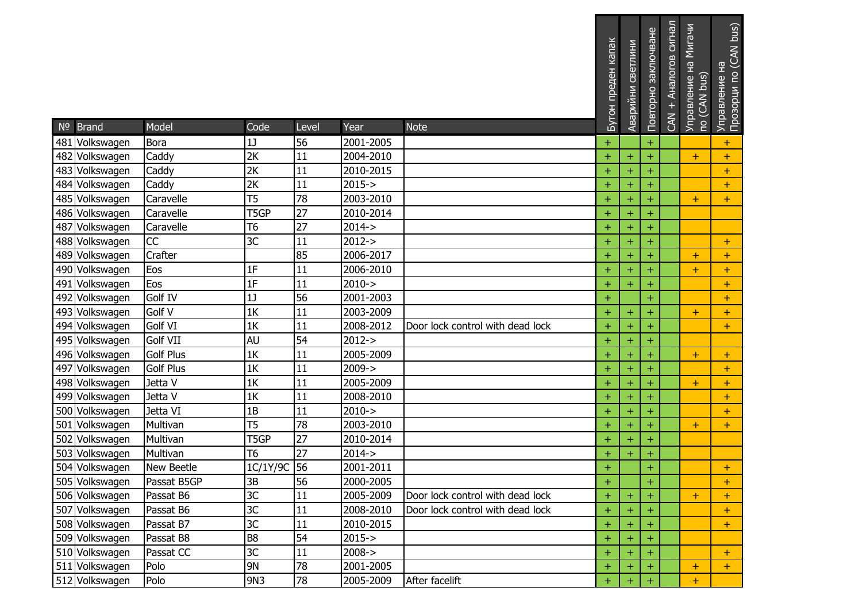|                                  |                   |                 |          |                        |                                  | Бутон преден капак | Аварийни светлини | Повторно заключване | сигнал<br>Аналогов<br>$CAN +$ | Мигачи<br>오<br>To (CAN bus)<br><b>Управление</b> | Прозорци по (CAN bus)<br>오<br><b>Управление</b> |
|----------------------------------|-------------------|-----------------|----------|------------------------|----------------------------------|--------------------|-------------------|---------------------|-------------------------------|--------------------------------------------------|-------------------------------------------------|
| Nº Brand                         | Model             | Code            | Level    | Year                   | <b>Note</b>                      |                    |                   |                     |                               |                                                  |                                                 |
| 481 Volkswagen                   | Bora<br>Caddy     | 1<br>2K         | 56<br>11 | 2001-2005<br>2004-2010 |                                  | Ŧ                  | $\pm$             | $\ddot{}$           |                               |                                                  | $\pm$                                           |
| 482 Volkswagen<br>483 Volkswagen | Caddy             | 2K              | 11       | 2010-2015              |                                  | ÷.<br>$\pm$        | $\ddot{}$         | $\pm$<br>$\ddot{}$  |                               | $\pm$                                            | $+$                                             |
| 484 Volkswagen                   | Caddy             | 2K              | 11       | $2015 - >$             |                                  | Ŧ                  | $\pm$             | $\ddot{}$           |                               |                                                  | $\pm$<br>$+$                                    |
| 485 Volkswagen                   | Caravelle         | T5              | 78       | 2003-2010              |                                  | +                  | $\pm$             | $\pm$               |                               | $\pm$                                            | $+$                                             |
| 486 Volkswagen                   | Caravelle         | T5GP            | 27       | 2010-2014              |                                  | $\pm$              | $\ddot{}$         | $\ddot{}$           |                               |                                                  |                                                 |
| 487 Volkswagen                   | Caravelle         | Т6              | 27       | $2014 - >$             |                                  | ÷                  | $+$               | $\ddot{}$           |                               |                                                  |                                                 |
| 488 Volkswagen                   | CC                | $\overline{3C}$ | 11       | $2012 - >$             |                                  | ÷                  | $\ddot{}$         | $\ddot{}$           |                               |                                                  | $+$                                             |
| 489 Volkswagen                   | Crafter           |                 | 85       | 2006-2017              |                                  | $\pm$              | $\pm$             | $\ddot{}$           |                               | $\pm$                                            | $\pm$                                           |
| 490 Volkswagen                   | Eos               | 1F              | 11       | 2006-2010              |                                  | ÷                  | $\ddot{}$         | $\pm$               |                               | $\pm$                                            | $\pm$                                           |
| 491 Volkswagen                   | Eos               | 1F              | 11       | $2010 - >$             |                                  | Ŧ                  | $\ddot{}$         | $\ddot{}$           |                               |                                                  | $+$                                             |
| 492 Volkswagen                   | Golf IV           | 1 <sub>J</sub>  | 56       | 2001-2003              |                                  | $+$                |                   | $\pm$               |                               |                                                  | $+$                                             |
| 493 Volkswagen                   | Golf V            | 1K              | 11       | 2003-2009              |                                  | ÷                  | $\pm$             | $\ddot{}$           |                               | $\pm$                                            | $\ddot{}$                                       |
| 494 Volkswagen                   | Golf VI           | 1K              | 11       | 2008-2012              | Door lock control with dead lock | Ŧ                  | $\ddot{}$         | $\ddot{}$           |                               |                                                  | $+$                                             |
| 495 Volkswagen                   | Golf VII          | AU              | 54       | $2012 - >$             |                                  | ÷.                 | $\pm$             | $\pm$               |                               |                                                  |                                                 |
| 496 Volkswagen                   | <b>Golf Plus</b>  | 1K              | 11       | 2005-2009              |                                  | $\pm$              | $\ddot{}$         | $\ddot{}$           |                               | $\pm$                                            | $+$                                             |
| 497 Volkswagen                   | <b>Golf Plus</b>  | 1K              | 11       | $2009 - >$             |                                  | ÷                  | $\ddot{}$         | $\pm$               |                               |                                                  | $+$                                             |
| 498 Volkswagen                   | Jetta V           | $\overline{1K}$ | 11       | 2005-2009              |                                  | +                  | $\ddot{}$         | $\pm$               |                               | $\pm$                                            | $+$                                             |
| 499 Volkswagen                   | Jetta V           | 1K              | 11       | 2008-2010              |                                  | $\pm$              | $\ddot{}$         | $\ddot{}$           |                               |                                                  | $+$                                             |
| 500 Volkswagen                   | Jetta VI          | 1B              | 11       | $2010 - >$             |                                  | ÷                  | $\ddot{}$         | $\pm$               |                               |                                                  | $\pm$                                           |
| 501 Volkswagen                   | Multivan          | T <sub>5</sub>  | 78       | 2003-2010              |                                  | $\pm$              | $\ddot{}$         | $\pm$               |                               | $\pm$                                            | $+$                                             |
| 502 Volkswagen                   | Multivan          | T5GP            | 27       | 2010-2014              |                                  | ÷                  | $+$               | $\pm$               |                               |                                                  |                                                 |
| 503 Volkswagen                   | Multivan          | T <sub>6</sub>  | 27       | $2014 - >$             |                                  | +                  | $\ddot{}$         | $\ddot{}$           |                               |                                                  |                                                 |
| 504 Volkswagen                   | <b>New Beetle</b> | 1C/1Y/9C 56     |          | 2001-2011              |                                  | $+$                |                   | $+$                 |                               |                                                  | $+$                                             |
| 505 Volkswagen                   | Passat B5GP       | 3B              | 56       | 2000-2005              |                                  | $\pm$              |                   | $\pm$               |                               |                                                  | $+$                                             |
| 506 Volkswagen                   | Passat B6         | 3C              | 11       | 2005-2009              | Door lock control with dead lock | $+$                | $\pm$             | $\ddot{}$           |                               | $\pm$                                            | $+$                                             |
| 507 Volkswagen                   | Passat B6         | 3C              | 11       | 2008-2010              | Door lock control with dead lock | ÷                  | $\pm$             | $\ddot{}$           |                               |                                                  | $+$                                             |
| 508 Volkswagen                   | Passat B7         | $\overline{3C}$ | 11       | 2010-2015              |                                  | +                  | $\pm$             | $\pm$               |                               |                                                  | $\pm$                                           |
| 509 Volkswagen                   | Passat B8         | B <sub>8</sub>  | 54       | $2015 - >$             |                                  | $+$                | $+$               | $\pm$               |                               |                                                  |                                                 |
| 510 Volkswagen                   | Passat CC         | 3C              | 11       | $2008 - >$             |                                  | ÷                  | $\ddot{}$         | $\ddot{}$           |                               |                                                  | $\pm$                                           |
| 511 Volkswagen                   | Polo              | 9N              | 78       | 2001-2005              |                                  |                    | $\pm$             | $\ddot{}$           |                               | ÷                                                | $+$                                             |
| 512 Volkswagen                   | Polo              | 9N3             | 78       | 2005-2009              | After facelift                   | ÷.                 | $+$               | $\pm$               |                               | $\pm$                                            |                                                 |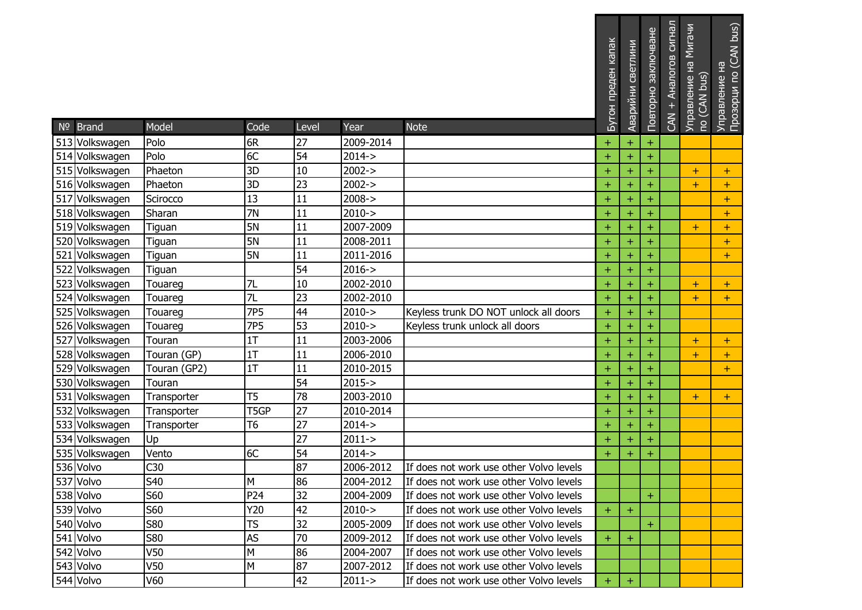| $No$ Brand                       | Model           | Code            | Level | Year       | <b>Note</b>                             | Бутон преден капак | Аварийни светлини | Повторно заключване | сигнал<br>Аналогов<br>$\pm$<br><b>GAN</b> | Мигачи<br>오<br>no (CAN bus)<br>Управление | Управление на<br>Прозорци по (CAN bus) |
|----------------------------------|-----------------|-----------------|-------|------------|-----------------------------------------|--------------------|-------------------|---------------------|-------------------------------------------|-------------------------------------------|----------------------------------------|
|                                  | Polo            | 6R              | 27    | 2009-2014  |                                         |                    |                   |                     |                                           |                                           |                                        |
| 513 Volkswagen<br>514 Volkswagen | Polo            | 6C              | 54    | $2014 - >$ |                                         | $\pm$<br>$+$       | $+$<br>$\ddot{}$  | $\pm$<br>$\ddot{}$  |                                           |                                           |                                        |
| 515 Volkswagen                   | Phaeton         | 3D              | 10    | $2002 - >$ |                                         |                    | $\ddot{}$         |                     |                                           |                                           |                                        |
| 516 Volkswagen                   | Phaeton         | 3D              | 23    | $2002 - >$ |                                         | ÷<br>$\pm$         | $\ddot{}$         | $\pm$               |                                           | $\pm$<br>$+$                              | $\pm$                                  |
| 517 Volkswagen                   | Scirocco        | 13              | 11    | $2008 - >$ |                                         | ÷.                 | $\ddot{}$         | $\ddot{}$<br>$\pm$  |                                           |                                           | $\pm$<br>$\pm$                         |
| 518 Volkswagen                   | Sharan          | 7N              | 11    | $2010 - >$ |                                         | $\pm$              | $\ddot{}$         | $\ddot{}$           |                                           |                                           | $\ddot{}$                              |
| 519 Volkswagen                   | Tiguan          | <b>5N</b>       | 11    | 2007-2009  |                                         | $+$                | $\ddot{}$         | $\pm$               |                                           | $+$                                       | $\pm$                                  |
| 520 Volkswagen                   | Tiguan          | <b>5N</b>       | 11    | 2008-2011  |                                         | ÷.                 | $\ddot{}$         | $\pm$               |                                           |                                           | $\pm$                                  |
| 521 Volkswagen                   | Tiguan          | <b>5N</b>       | 11    | 2011-2016  |                                         | $\pm$              | $\ddot{}$         | $\ddot{}$           |                                           |                                           | $\pm$                                  |
| 522 Volkswagen                   | Tiguan          |                 | 54    | $2016 - >$ |                                         | $\pm$              | $\ddot{}$         | $\pm$               |                                           |                                           |                                        |
| 523 Volkswagen                   | Touareg         | 7L              | 10    | 2002-2010  |                                         | ÷.                 | $\ddot{}$         | $\pm$               |                                           | $\pm$                                     | $\pm$                                  |
| 524 Volkswagen                   | Touareg         | 7L              | 23    | 2002-2010  |                                         | $+$                | $\ddot{}$         | $\pm$               |                                           | $+$                                       | $\ddot{}$                              |
| 525 Volkswagen                   | Touareg         | 7P <sub>5</sub> | 44    | $2010 - >$ | Keyless trunk DO NOT unlock all doors   | ÷.                 | $\ddot{}$         | $\pm$               |                                           |                                           |                                        |
| 526 Volkswagen                   | Touareg         | 7P <sub>5</sub> | 53    | $2010 - >$ | Keyless trunk unlock all doors          | $\pm$              | $\ddot{}$         |                     |                                           |                                           |                                        |
| 527 Volkswagen                   | Touran          | 1T              | 11    | 2003-2006  |                                         | $+$                | $\ddot{}$         | $\pm$               |                                           | $+$                                       | $+$                                    |
| 528 Volkswagen                   | Touran (GP)     | 1T              | 11    | 2006-2010  |                                         | $\pm$              | $\ddot{}$         | $\ddot{}$           |                                           | $+$                                       | $\ddot{}$                              |
| 529 Volkswagen                   | Touran (GP2)    | 1T              | 11    | 2010-2015  |                                         | $\pm$              | $\ddot{}$         | $\pm$               |                                           |                                           | $\pm$                                  |
| 530 Volkswagen                   | Touran          |                 | 54    | $2015 - >$ |                                         | ÷.                 | $\pm$             | $\pm$               |                                           |                                           |                                        |
| 531 Volkswagen                   | Transporter     | T <sub>5</sub>  | 78    | 2003-2010  |                                         | $\pm$              | $\ddot{}$         | $\ddot{}$           |                                           | $\pm$                                     | $\ddot{}$                              |
| 532 Volkswagen                   | Transporter     | T5GP            | 27    | 2010-2014  |                                         | $\pm$              | $+$               | $+$                 |                                           |                                           |                                        |
| 533 Volkswagen                   | Transporter     | T6              | 27    | $2014 - >$ |                                         | +                  | $\ddot{}$         | $\pm$               |                                           |                                           |                                        |
| 534 Volkswagen                   | Up              |                 | 27    | $2011 - >$ |                                         | $+$                | $\ddot{}$         | $\ddot{}$           |                                           |                                           |                                        |
| 535 Volkswagen                   | Vento           | 6C              | 54    | $2014 - >$ |                                         | ÷                  | $\ddot{}$         | $\ddot{}$           |                                           |                                           |                                        |
| 536 Volvo                        | C30             |                 | 87    | 2006-2012  | If does not work use other Volvo levels |                    |                   |                     |                                           |                                           |                                        |
| 537 Volvo                        | S40             | M               | 86    | 2004-2012  | If does not work use other Volvo levels |                    |                   |                     |                                           |                                           |                                        |
| 538 Volvo                        | S60             | P24             | 32    | 2004-2009  | If does not work use other Volvo levels |                    |                   | ÷                   |                                           |                                           |                                        |
| 539 Volvo                        | S60             | Y20             | 42    | $2010 - >$ | If does not work use other Volvo levels | $\pm$              | $\pm$             |                     |                                           |                                           |                                        |
| 540 Volvo                        | <b>S80</b>      | TS              | 32    | 2005-2009  | If does not work use other Volvo levels |                    |                   | ÷                   |                                           |                                           |                                        |
| 541 Volvo                        | S80             | AS              | 70    | 2009-2012  | If does not work use other Volvo levels | $\pm$              | $+$               |                     |                                           |                                           |                                        |
| 542 Volvo                        | V <sub>50</sub> | M               | 86    | 2004-2007  | If does not work use other Volvo levels |                    |                   |                     |                                           |                                           |                                        |
| 543 Volvo                        | V <sub>50</sub> | M               | 87    | 2007-2012  | If does not work use other Volvo levels |                    |                   |                     |                                           |                                           |                                        |
| 544 Volvo                        | V60             |                 | 42    | $2011 - >$ | If does not work use other Volvo levels | ÷.                 | $\pm$             |                     |                                           |                                           |                                        |